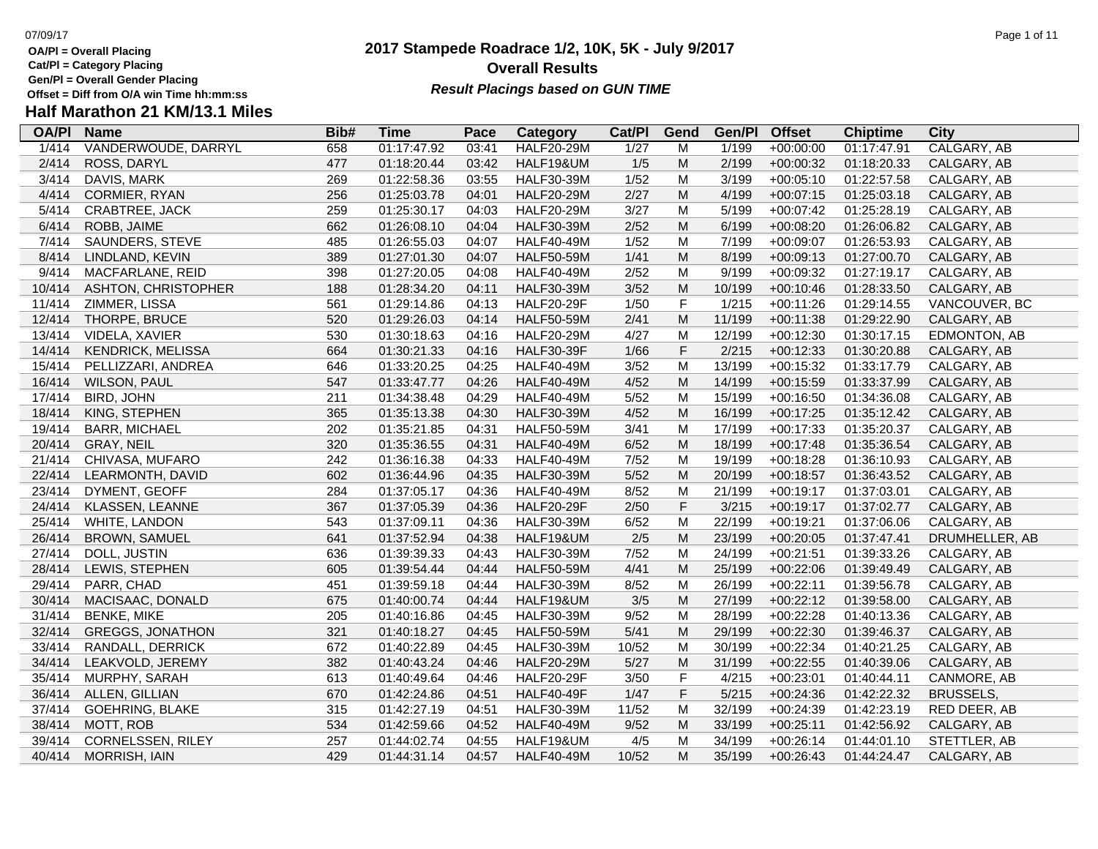- **OA/Pl = Overall Placing**
- **Cat/Pl = Category Placing**
- **Gen/Pl = Overall Gender Placing**
- **Half Marathon 21 KM/13.1 Miles**

### **2017 Stampede Roadrace 1/2, 10K, 5K - July 9/2017** 07/09/17 Page 1 of 11 **Overall Results** Gen/PI = Overall Gender Placing<br>Offset = Diff from O/A win Time hh:mm:ss *Result Placings based on GUN TIME*

| <b>Name</b>              | Bib#                           | Time        | Pace  | Category          | Cat/PI | Gend        | Gen/Pl                                                 | <b>Offset</b> | <b>Chiptime</b> | City                       |
|--------------------------|--------------------------------|-------------|-------|-------------------|--------|-------------|--------------------------------------------------------|---------------|-----------------|----------------------------|
| VANDERWOUDE, DARRYL      |                                | 01:17:47.92 | 03:41 | <b>HALF20-29M</b> |        | M           | 1/199                                                  | $+00:00:00$   |                 | CALGARY, AB                |
| ROSS, DARYL              | 477                            | 01:18:20.44 | 03:42 | HALF19&UM         | 1/5    | M           | 2/199                                                  | $+00:00:32$   | 01:18:20.33     | CALGARY, AB                |
| DAVIS, MARK              | 269                            | 01:22:58.36 | 03:55 | <b>HALF30-39M</b> | 1/52   | M           | 3/199                                                  | $+00:05:10$   | 01:22:57.58     | CALGARY, AB                |
|                          | 256                            | 01:25:03.78 | 04:01 | <b>HALF20-29M</b> | 2/27   | M           | 4/199                                                  | $+00:07:15$   | 01:25:03.18     | CALGARY, AB                |
| CRABTREE, JACK           | 259                            | 01:25:30.17 | 04:03 | <b>HALF20-29M</b> | 3/27   | M           | 5/199                                                  | $+00:07:42$   | 01:25:28.19     | CALGARY, AB                |
| ROBB, JAIME              | 662                            | 01:26:08.10 | 04:04 | <b>HALF30-39M</b> | 2/52   | M           | 6/199                                                  | $+00:08:20$   | 01:26:06.82     | CALGARY, AB                |
| SAUNDERS, STEVE          | 485                            | 01:26:55.03 | 04:07 | <b>HALF40-49M</b> | 1/52   | M           | 7/199                                                  | $+00:09:07$   | 01:26:53.93     | CALGARY, AB                |
| LINDLAND, KEVIN          | 389                            | 01:27:01.30 | 04:07 | <b>HALF50-59M</b> | 1/41   |             | 8/199                                                  | $+00:09:13$   | 01:27:00.70     | CALGARY, AB                |
| MACFARLANE, REID         | 398                            | 01:27:20.05 | 04:08 | <b>HALF40-49M</b> | 2/52   | M           | 9/199                                                  | $+00:09:32$   | 01:27:19.17     | CALGARY, AB                |
| ASHTON, CHRISTOPHER      | 188                            | 01:28:34.20 | 04:11 | <b>HALF30-39M</b> | 3/52   | M           | 10/199                                                 | $+00:10:46$   | 01:28:33.50     | CALGARY, AB                |
| ZIMMER, LISSA            | 561                            | 01:29:14.86 | 04:13 | <b>HALF20-29F</b> | 1/50   | $\mathsf F$ | 1/215                                                  | $+00:11:26$   | 01:29:14.55     | VANCOUVER, BC              |
| THORPE, BRUCE            | 520                            | 01:29:26.03 | 04:14 | <b>HALF50-59M</b> | 2/41   | M           | 11/199                                                 | $+00:11:38$   | 01:29:22.90     | CALGARY, AB                |
| VIDELA, XAVIER           | 530                            | 01:30:18.63 | 04:16 | <b>HALF20-29M</b> | 4/27   | M           | 12/199                                                 | $+00:12:30$   | 01:30:17.15     | EDMONTON, AB               |
| <b>KENDRICK, MELISSA</b> | 664                            | 01:30:21.33 | 04:16 | <b>HALF30-39F</b> | 1/66   | $\mathsf F$ | 2/215                                                  | $+00:12:33$   | 01:30:20.88     | CALGARY, AB                |
| PELLIZZARI, ANDREA       | 646                            | 01:33:20.25 | 04:25 | <b>HALF40-49M</b> | 3/52   | M           | 13/199                                                 | $+00:15:32$   | 01:33:17.79     | CALGARY, AB                |
| <b>WILSON, PAUL</b>      | 547                            | 01:33:47.77 | 04:26 | <b>HALF40-49M</b> | 4/52   | M           | 14/199                                                 | $+00:15:59$   | 01:33:37.99     | CALGARY, AB                |
| <b>BIRD, JOHN</b>        | 211                            | 01:34:38.48 | 04:29 | <b>HALF40-49M</b> | 5/52   | M           | 15/199                                                 | $+00:16:50$   | 01:34:36.08     | CALGARY, AB                |
| KING, STEPHEN            | 365                            | 01:35:13.38 | 04:30 | <b>HALF30-39M</b> | 4/52   | M           | 16/199                                                 | $+00:17:25$   | 01:35:12.42     | CALGARY, AB                |
| <b>BARR, MICHAEL</b>     | 202                            | 01:35:21.85 | 04:31 | <b>HALF50-59M</b> | 3/41   | M           | 17/199                                                 | $+00:17:33$   | 01:35:20.37     | CALGARY, AB                |
| <b>GRAY, NEIL</b>        | 320                            | 01:35:36.55 | 04:31 | <b>HALF40-49M</b> | 6/52   | M           | 18/199                                                 | $+00:17:48$   | 01:35:36.54     | CALGARY, AB                |
| CHIVASA, MUFARO          | 242                            | 01:36:16.38 | 04:33 | <b>HALF40-49M</b> | 7/52   | M           | 19/199                                                 | $+00:18:28$   | 01:36:10.93     | CALGARY, AB                |
| LEARMONTH, DAVID         | 602                            | 01:36:44.96 | 04:35 | <b>HALF30-39M</b> | $5/52$ | M           | 20/199                                                 | $+00:18:57$   | 01:36:43.52     | CALGARY, AB                |
|                          | 284                            | 01:37:05.17 | 04:36 | <b>HALF40-49M</b> | 8/52   | M           | 21/199                                                 | $+00:19:17$   |                 | CALGARY, AB                |
| KLASSEN, LEANNE          | 367                            | 01:37:05.39 | 04:36 | HALF20-29F        | 2/50   |             |                                                        | $+00:19:17$   | 01:37:02.77     | CALGARY, AB                |
| WHITE, LANDON            | 543                            | 01:37:09.11 | 04:36 | <b>HALF30-39M</b> | 6/52   | M           | 22/199                                                 | $+00:19:21$   | 01:37:06.06     | CALGARY, AB                |
| <b>BROWN, SAMUEL</b>     | 641                            | 01:37:52.94 | 04:38 | HALF19&UM         | 2/5    | M           | 23/199                                                 | $+00:20:05$   | 01:37:47.41     | DRUMHELLER, AB             |
| DOLL, JUSTIN             | 636                            | 01:39:39.33 | 04:43 | <b>HALF30-39M</b> | 7/52   | M           | 24/199                                                 | $+00:21:51$   | 01:39:33.26     | CALGARY, AB                |
| LEWIS, STEPHEN           | 605                            | 01:39:54.44 | 04:44 | <b>HALF50-59M</b> | 4/41   | M           | 25/199                                                 | $+00:22:06$   | 01:39:49.49     | CALGARY, AB                |
| PARR, CHAD               | 451                            | 01:39:59.18 | 04:44 | <b>HALF30-39M</b> | 8/52   | M           | 26/199                                                 | $+00:22:11$   | 01:39:56.78     | CALGARY, AB                |
| MACISAAC, DONALD         | 675                            | 01:40:00.74 | 04:44 | HALF19&UM         | 3/5    | M           | 27/199                                                 | $+00:22:12$   | 01:39:58.00     | CALGARY, AB                |
| <b>BENKE, MIKE</b>       | 205                            | 01:40:16.86 | 04:45 | <b>HALF30-39M</b> | 9/52   | M           | 28/199                                                 | $+00:22:28$   | 01:40:13.36     | CALGARY, AB                |
| <b>GREGGS, JONATHON</b>  | 321                            | 01:40:18.27 | 04:45 | <b>HALF50-59M</b> | 5/41   | ${\sf M}$   | 29/199                                                 | $+00:22:30$   | 01:39:46.37     | CALGARY, AB                |
| RANDALL, DERRICK         | 672                            | 01:40:22.89 | 04:45 | <b>HALF30-39M</b> | 10/52  | M           | 30/199                                                 | $+00:22:34$   | 01:40:21.25     | CALGARY, AB                |
| LEAKVOLD, JEREMY         | 382                            | 01:40:43.24 | 04:46 | <b>HALF20-29M</b> | 5/27   | M           | 31/199                                                 | $+00:22:55$   | 01:40:39.06     | CALGARY, AB                |
| MURPHY, SARAH            | 613                            | 01:40:49.64 | 04:46 | <b>HALF20-29F</b> | 3/50   |             | 4/215                                                  | $+00:23:01$   | 01:40:44.11     | CANMORE, AB                |
| ALLEN, GILLIAN           | 670                            | 01:42:24.86 | 04:51 | HALF40-49F        | 1/47   |             | 5/215                                                  | $+00:24:36$   | 01:42:22.32     | <b>BRUSSELS</b>            |
| <b>GOEHRING, BLAKE</b>   | 315                            | 01:42:27.19 | 04:51 | <b>HALF30-39M</b> | 11/52  | M           | 32/199                                                 | $+00:24:39$   | 01:42:23.19     | RED DEER, AB               |
| MOTT, ROB                | 534                            | 01:42:59.66 | 04:52 | <b>HALF40-49M</b> | 9/52   | M           | 33/199                                                 | $+00:25:11$   | 01:42:56.92     | CALGARY, AB                |
| CORNELSSEN, RILEY        | 257                            | 01:44:02.74 | 04:55 | HALF19&UM         | 4/5    | M           | 34/199                                                 | $+00:26:14$   | 01:44:01.10     | STETTLER, AB               |
| <b>MORRISH, IAIN</b>     | 429                            | 01:44:31.14 | 04:57 | <b>HALF40-49M</b> | 10/52  | M           | 35/199                                                 | $+00:26:43$   | 01:44:24.47     | CALGARY, AB                |
|                          | CORMIER, RYAN<br>DYMENT, GEOFF | 658         |       |                   |        | 1/27        | ${\sf M}$<br>$\mathsf F$<br>$\mathsf F$<br>$\mathsf F$ | 3/215         |                 | 01:17:47.91<br>01:37:03.01 |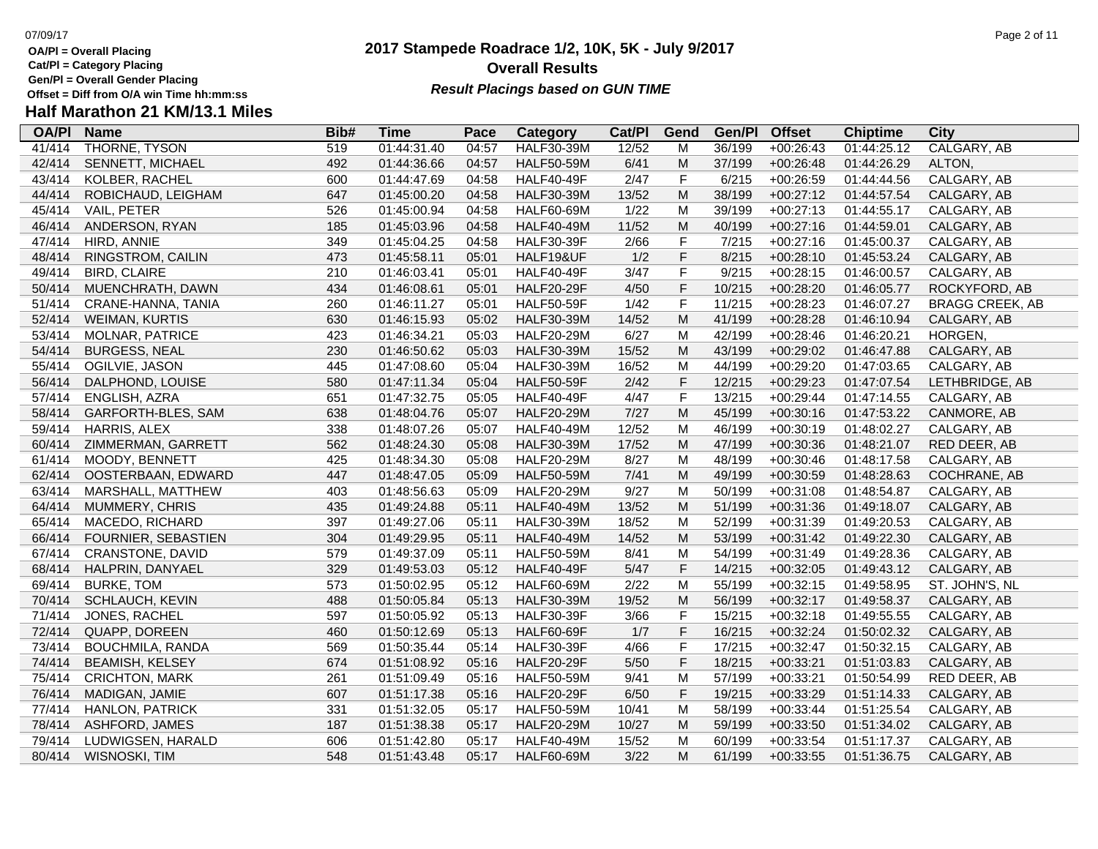- **Cat/Pl = Category Placing**
- 
- 

## **Gen/Pl = Overall Gender Placing**

## **Half Marathon 21 KM/13.1 Miles**

| <b>OA/PI</b> | <b>Name</b>             | Bib# | <b>Time</b> | Pace  | Category          | Cat/PI | Gend        | Gen/Pl | <b>Offset</b> | <b>Chiptime</b> | City                   |
|--------------|-------------------------|------|-------------|-------|-------------------|--------|-------------|--------|---------------|-----------------|------------------------|
| 41/414       | THORNE, TYSON           | 519  | 01:44:31.40 | 04:57 | <b>HALF30-39M</b> | 12/52  | M           | 36/199 | $+00:26:43$   | 01:44:25.12     | CALGARY, AB            |
| 42/414       | SENNETT, MICHAEL        | 492  | 01:44:36.66 | 04:57 | <b>HALF50-59M</b> | 6/41   | M           | 37/199 | $+00:26:48$   | 01:44:26.29     | ALTON,                 |
| 43/414       | KOLBER, RACHEL          | 600  | 01:44:47.69 | 04:58 | <b>HALF40-49F</b> | 2/47   | $\mathsf F$ | 6/215  | $+00:26:59$   | 01:44:44.56     | CALGARY, AB            |
| 44/414       | ROBICHAUD, LEIGHAM      | 647  | 01:45:00.20 | 04:58 | <b>HALF30-39M</b> | 13/52  | M           | 38/199 | $+00:27:12$   | 01:44:57.54     | CALGARY, AB            |
| 45/414       | VAIL, PETER             | 526  | 01:45:00.94 | 04:58 | <b>HALF60-69M</b> | 1/22   | M           | 39/199 | $+00:27:13$   | 01:44:55.17     | CALGARY, AB            |
| 46/414       | ANDERSON, RYAN          | 185  | 01:45:03.96 | 04:58 | <b>HALF40-49M</b> | 11/52  | M           | 40/199 | $+00:27:16$   | 01:44:59.01     | CALGARY, AB            |
| 47/414       | HIRD, ANNIE             | 349  | 01:45:04.25 | 04:58 | <b>HALF30-39F</b> | 2/66   | $\mathsf F$ | 7/215  | $+00:27:16$   | 01:45:00.37     | CALGARY, AB            |
| 48/414       | RINGSTROM, CAILIN       | 473  | 01:45:58.11 | 05:01 | HALF19&UF         | 1/2    | $\mathsf F$ | 8/215  | $+00:28:10$   | 01:45:53.24     | CALGARY, AB            |
| 49/414       | <b>BIRD, CLAIRE</b>     | 210  | 01:46:03.41 | 05:01 | <b>HALF40-49F</b> | 3/47   | $\mathsf F$ | 9/215  | $+00:28:15$   | 01:46:00.57     | CALGARY, AB            |
| 50/414       | MUENCHRATH, DAWN        | 434  | 01:46:08.61 | 05:01 | <b>HALF20-29F</b> | 4/50   | $\mathsf F$ | 10/215 | $+00:28:20$   | 01:46:05.77     | ROCKYFORD, AB          |
| 51/414       | CRANE-HANNA, TANIA      | 260  | 01:46:11.27 | 05:01 | <b>HALF50-59F</b> | 1/42   | $\mathsf F$ | 11/215 | $+00:28:23$   | 01:46:07.27     | <b>BRAGG CREEK, AB</b> |
| 52/414       | <b>WEIMAN, KURTIS</b>   | 630  | 01:46:15.93 | 05:02 | <b>HALF30-39M</b> | 14/52  | M           | 41/199 | $+00:28:28$   | 01:46:10.94     | CALGARY, AB            |
| 53/414       | <b>MOLNAR, PATRICE</b>  | 423  | 01:46:34.21 | 05:03 | <b>HALF20-29M</b> | 6/27   | M           | 42/199 | $+00:28:46$   | 01:46:20.21     | HORGEN,                |
| 54/414       | <b>BURGESS, NEAL</b>    | 230  | 01:46:50.62 | 05:03 | <b>HALF30-39M</b> | 15/52  | M           | 43/199 | $+00:29:02$   | 01:46:47.88     | CALGARY, AB            |
| 55/414       | OGILVIE, JASON          | 445  | 01:47:08.60 | 05:04 | <b>HALF30-39M</b> | 16/52  | M           | 44/199 | $+00:29:20$   | 01:47:03.65     | CALGARY, AB            |
| 56/414       | DALPHOND, LOUISE        | 580  | 01:47:11.34 | 05:04 | <b>HALF50-59F</b> | 2/42   | $\mathsf F$ | 12/215 | $+00:29:23$   | 01:47:07.54     | LETHBRIDGE, AB         |
| 57/414       | ENGLISH, AZRA           | 651  | 01:47:32.75 | 05:05 | <b>HALF40-49F</b> | 4/47   | $\mathsf F$ | 13/215 | $+00:29:44$   | 01:47:14.55     | CALGARY, AB            |
| 58/414       | GARFORTH-BLES, SAM      | 638  | 01:48:04.76 | 05:07 | <b>HALF20-29M</b> | 7/27   | M           | 45/199 | $+00:30:16$   | 01:47:53.22     | CANMORE, AB            |
| 59/414       | HARRIS, ALEX            | 338  | 01:48:07.26 | 05:07 | <b>HALF40-49M</b> | 12/52  | M           | 46/199 | $+00:30:19$   | 01:48:02.27     | CALGARY, AB            |
| 60/414       | ZIMMERMAN, GARRETT      | 562  | 01:48:24.30 | 05:08 | <b>HALF30-39M</b> | 17/52  | M           | 47/199 | $+00:30:36$   | 01:48:21.07     | RED DEER, AB           |
| 61/414       | MOODY, BENNETT          | 425  | 01:48:34.30 | 05:08 | <b>HALF20-29M</b> | 8/27   | M           | 48/199 | $+00:30:46$   | 01:48:17.58     | CALGARY, AB            |
| 62/414       | OOSTERBAAN, EDWARD      | 447  | 01:48:47.05 | 05:09 | <b>HALF50-59M</b> | 7/41   | M           | 49/199 | $+00:30:59$   | 01:48:28.63     | COCHRANE, AB           |
| 63/414       | MARSHALL, MATTHEW       | 403  | 01:48:56.63 | 05:09 | <b>HALF20-29M</b> | 9/27   | M           | 50/199 | $+00:31:08$   | 01:48:54.87     | CALGARY, AB            |
| 64/414       | MUMMERY, CHRIS          | 435  | 01:49:24.88 | 05:11 | <b>HALF40-49M</b> | 13/52  | M           | 51/199 | $+00:31:36$   | 01:49:18.07     | CALGARY, AB            |
| 65/414       | MACEDO, RICHARD         | 397  | 01:49:27.06 | 05:11 | <b>HALF30-39M</b> | 18/52  | M           | 52/199 | $+00:31:39$   | 01:49:20.53     | CALGARY, AB            |
| 66/414       | FOURNIER, SEBASTIEN     | 304  | 01:49:29.95 | 05:11 | <b>HALF40-49M</b> | 14/52  | M           | 53/199 | $+00:31:42$   | 01:49:22.30     | CALGARY, AB            |
| 67/414       | <b>CRANSTONE, DAVID</b> | 579  | 01:49:37.09 | 05:11 | <b>HALF50-59M</b> | 8/41   | M           | 54/199 | $+00:31:49$   | 01:49:28.36     | CALGARY, AB            |
| 68/414       | HALPRIN, DANYAEL        | 329  | 01:49:53.03 | 05:12 | <b>HALF40-49F</b> | $5/47$ | $\mathsf F$ | 14/215 | $+00:32:05$   | 01:49:43.12     | CALGARY, AB            |
| 69/414       | <b>BURKE, TOM</b>       | 573  | 01:50:02.95 | 05:12 | <b>HALF60-69M</b> | 2/22   | M           | 55/199 | $+00:32:15$   | 01:49:58.95     | ST. JOHN'S, NL         |
| 70/414       | SCHLAUCH, KEVIN         | 488  | 01:50:05.84 | 05:13 | <b>HALF30-39M</b> | 19/52  | M           | 56/199 | $+00:32:17$   | 01:49:58.37     | CALGARY, AB            |
| 71/414       | JONES, RACHEL           | 597  | 01:50:05.92 | 05:13 | <b>HALF30-39F</b> | 3/66   | $\mathsf F$ | 15/215 | $+00:32:18$   | 01:49:55.55     | CALGARY, AB            |
| 72/414       | QUAPP, DOREEN           | 460  | 01:50:12.69 | 05:13 | <b>HALF60-69F</b> | 1/7    | $\mathsf F$ | 16/215 | $+00:32:24$   | 01:50:02.32     | CALGARY, AB            |
| 73/414       | <b>BOUCHMILA, RANDA</b> | 569  | 01:50:35.44 | 05:14 | <b>HALF30-39F</b> | 4/66   | $\mathsf F$ | 17/215 | $+00:32:47$   | 01:50:32.15     | CALGARY, AB            |
| 74/414       | <b>BEAMISH, KELSEY</b>  | 674  | 01:51:08.92 | 05:16 | <b>HALF20-29F</b> | $5/50$ | $\mathsf F$ | 18/215 | $+00:33:21$   | 01:51:03.83     | CALGARY, AB            |
| 75/414       | <b>CRICHTON, MARK</b>   | 261  | 01:51:09.49 | 05:16 | <b>HALF50-59M</b> | 9/41   | M           | 57/199 | $+00:33:21$   | 01:50:54.99     | RED DEER, AB           |
| 76/414       | MADIGAN, JAMIE          | 607  | 01:51:17.38 | 05:16 | <b>HALF20-29F</b> | 6/50   | $\mathsf F$ | 19/215 | $+00:33:29$   | 01:51:14.33     | CALGARY, AB            |
| 77/414       | <b>HANLON, PATRICK</b>  | 331  | 01:51:32.05 | 05:17 | <b>HALF50-59M</b> | 10/41  | M           | 58/199 | $+00:33:44$   | 01:51:25.54     | CALGARY, AB            |
| 78/414       | ASHFORD, JAMES          | 187  | 01:51:38.38 | 05:17 | <b>HALF20-29M</b> | 10/27  | M           | 59/199 | $+00:33:50$   | 01:51:34.02     | CALGARY, AB            |
| 79/414       | LUDWIGSEN, HARALD       | 606  | 01:51:42.80 | 05:17 | <b>HALF40-49M</b> | 15/52  | M           | 60/199 | $+00:33:54$   | 01:51:17.37     | CALGARY, AB            |
| 80/414       | WISNOSKI, TIM           | 548  | 01:51:43.48 | 05:17 | <b>HALF60-69M</b> | 3/22   | M           | 61/199 | $+00:33:55$   | 01:51:36.75     | CALGARY, AB            |
|              |                         |      |             |       |                   |        |             |        |               |                 |                        |

**2017 Stampede Roadrace 1/2, 10K, 5K - July 9/2017**

**Result Placings based on GUN TIME** 

**Overall Results**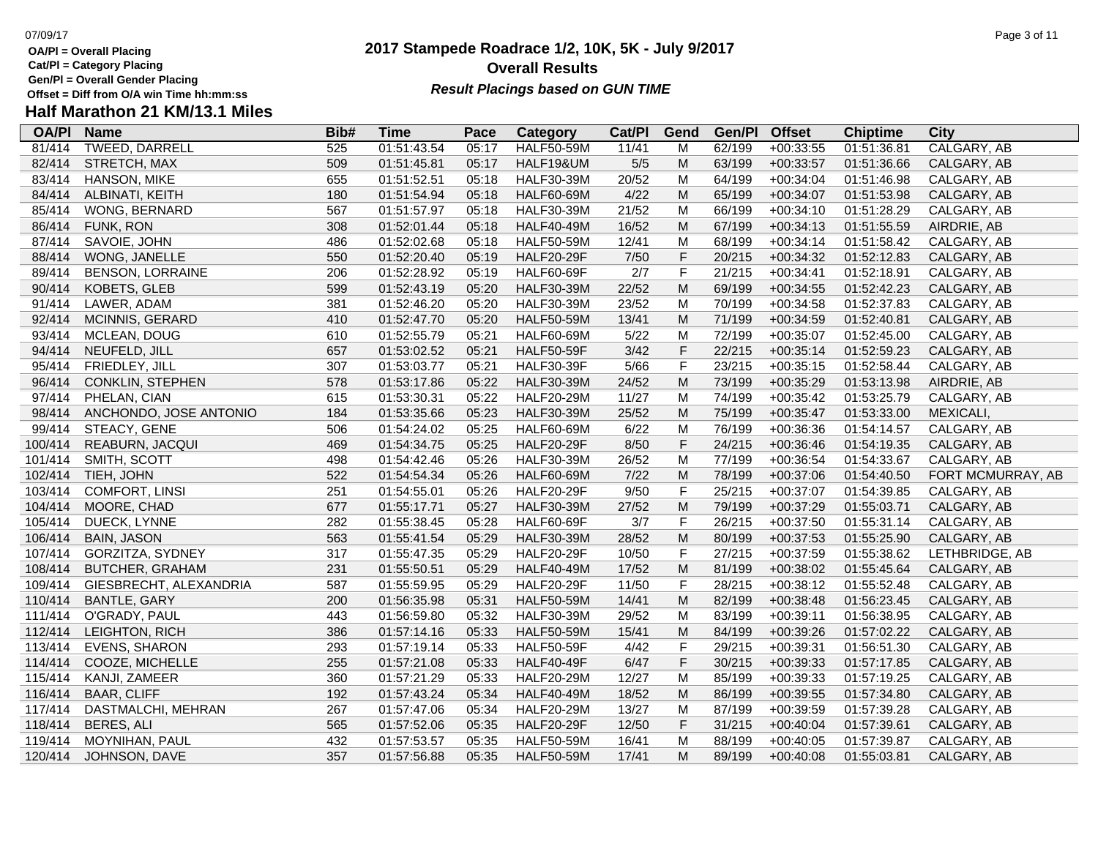**Cat/Pl = Category Placing**

**Gen/Pl = Overall Gender Placing**

## **Half Marathon 21 KM/13.1 Miles**

| <b>OA/PI</b> | <b>Name</b>             | Bib# | Time        | Pace  | Category          | Cat/PI | Gend        | Gen/Pl | <b>Offset</b> | <b>Chiptime</b> | City              |
|--------------|-------------------------|------|-------------|-------|-------------------|--------|-------------|--------|---------------|-----------------|-------------------|
| 81/414       | <b>TWEED, DARRELL</b>   | 525  | 01:51:43.54 | 05:17 | <b>HALF50-59M</b> | 11/41  | M           | 62/199 | $+00:33:55$   | 01:51:36.81     | CALGARY, AB       |
| 82/414       | STRETCH, MAX            | 509  | 01:51:45.81 | 05:17 | HALF19&UM         | $5/5$  | M           | 63/199 | $+00:33:57$   | 01:51:36.66     | CALGARY, AB       |
| 83/414       | <b>HANSON, MIKE</b>     | 655  | 01:51:52.51 | 05:18 | <b>HALF30-39M</b> | 20/52  | M           | 64/199 | $+00:34:04$   | 01:51:46.98     | CALGARY, AB       |
| 84/414       | ALBINATI, KEITH         | 180  | 01:51:54.94 | 05:18 | <b>HALF60-69M</b> | 4/22   | M           | 65/199 | $+00:34:07$   | 01:51:53.98     | CALGARY, AB       |
| 85/414       | WONG, BERNARD           | 567  | 01:51:57.97 | 05:18 | <b>HALF30-39M</b> | 21/52  | M           | 66/199 | $+00:34:10$   | 01:51:28.29     | CALGARY, AB       |
| 86/414       | FUNK, RON               | 308  | 01:52:01.44 | 05:18 | <b>HALF40-49M</b> | 16/52  | M           | 67/199 | $+00:34:13$   | 01:51:55.59     | AIRDRIE, AB       |
| 87/414       | SAVOIE, JOHN            | 486  | 01:52:02.68 | 05:18 | <b>HALF50-59M</b> | 12/41  | M           | 68/199 | $+00:34:14$   | 01:51:58.42     | CALGARY, AB       |
| 88/414       | WONG, JANELLE           | 550  | 01:52:20.40 | 05:19 | <b>HALF20-29F</b> | 7/50   | $\mathsf F$ | 20/215 | $+00:34:32$   | 01:52:12.83     | CALGARY, AB       |
| 89/414       | <b>BENSON, LORRAINE</b> | 206  | 01:52:28.92 | 05:19 | <b>HALF60-69F</b> | 2/7    | F           | 21/215 | $+00:34:41$   | 01:52:18.91     | CALGARY, AB       |
| 90/414       | <b>KOBETS, GLEB</b>     | 599  | 01:52:43.19 | 05:20 | <b>HALF30-39M</b> | 22/52  | M           | 69/199 | $+00:34:55$   | 01:52:42.23     | CALGARY, AB       |
| 91/414       | LAWER, ADAM             | 381  | 01:52:46.20 | 05:20 | <b>HALF30-39M</b> | 23/52  | M           | 70/199 | $+00:34:58$   | 01:52:37.83     | CALGARY, AB       |
| 92/414       | MCINNIS, GERARD         | 410  | 01:52:47.70 | 05:20 | <b>HALF50-59M</b> | 13/41  | M           | 71/199 | $+00:34:59$   | 01:52:40.81     | CALGARY, AB       |
| 93/414       | MCLEAN, DOUG            | 610  | 01:52:55.79 | 05:21 | <b>HALF60-69M</b> | 5/22   | M           | 72/199 | $+00:35:07$   | 01:52:45.00     | CALGARY, AB       |
| 94/414       | NEUFELD, JILL           | 657  | 01:53:02.52 | 05:21 | <b>HALF50-59F</b> | 3/42   | $\mathsf F$ | 22/215 | $+00:35:14$   | 01:52:59.23     | CALGARY, AB       |
| 95/414       | FRIEDLEY, JILL          | 307  | 01:53:03.77 | 05:21 | <b>HALF30-39F</b> | $5/66$ | $\mathsf F$ | 23/215 | $+00:35:15$   | 01:52:58.44     | CALGARY, AB       |
| 96/414       | <b>CONKLIN, STEPHEN</b> | 578  | 01:53:17.86 | 05:22 | <b>HALF30-39M</b> | 24/52  | M           | 73/199 | $+00:35:29$   | 01:53:13.98     | AIRDRIE, AB       |
| 97/414       | PHELAN, CIAN            | 615  | 01:53:30.31 | 05:22 | <b>HALF20-29M</b> | 11/27  | M           | 74/199 | $+00:35:42$   | 01:53:25.79     | CALGARY, AB       |
| 98/414       | ANCHONDO, JOSE ANTONIO  | 184  | 01:53:35.66 | 05:23 | <b>HALF30-39M</b> | 25/52  | M           | 75/199 | $+00:35:47$   | 01:53:33.00     | MEXICALI,         |
| 99/414       | STEACY, GENE            | 506  | 01:54:24.02 | 05:25 | <b>HALF60-69M</b> | 6/22   | M           | 76/199 | $+00:36:36$   | 01:54:14.57     | CALGARY, AB       |
| 100/414      | REABURN, JACQUI         | 469  | 01:54:34.75 | 05:25 | <b>HALF20-29F</b> | 8/50   | F           | 24/215 | $+00:36:46$   | 01:54:19.35     | CALGARY, AB       |
| 101/414      | SMITH, SCOTT            | 498  | 01:54:42.46 | 05:26 | <b>HALF30-39M</b> | 26/52  | M           | 77/199 | $+00:36:54$   | 01:54:33.67     | CALGARY, AB       |
| 102/414      | TIEH, JOHN              | 522  | 01:54:54.34 | 05:26 | <b>HALF60-69M</b> | 7/22   | M           | 78/199 | $+00:37:06$   | 01:54:40.50     | FORT MCMURRAY, AB |
| 103/414      | <b>COMFORT, LINSI</b>   | 251  | 01:54:55.01 | 05:26 | <b>HALF20-29F</b> | 9/50   | $\mathsf F$ | 25/215 | $+00:37:07$   | 01:54:39.85     | CALGARY, AB       |
| 104/414      | MOORE, CHAD             | 677  | 01:55:17.71 | 05:27 | <b>HALF30-39M</b> | 27/52  | M           | 79/199 | $+00:37:29$   | 01:55:03.71     | CALGARY, AB       |
| 105/414      | DUECK, LYNNE            | 282  | 01:55:38.45 | 05:28 | <b>HALF60-69F</b> | 3/7    | F           | 26/215 | $+00:37:50$   | 01:55:31.14     | CALGARY, AB       |
| 106/414      | <b>BAIN, JASON</b>      | 563  | 01:55:41.54 | 05:29 | <b>HALF30-39M</b> | 28/52  | ${\sf M}$   | 80/199 | $+00:37:53$   | 01:55:25.90     | CALGARY, AB       |
| 107/414      | GORZITZA, SYDNEY        | 317  | 01:55:47.35 | 05:29 | <b>HALF20-29F</b> | 10/50  | F           | 27/215 | +00:37:59     | 01:55:38.62     | LETHBRIDGE, AB    |
| 108/414      | <b>BUTCHER, GRAHAM</b>  | 231  | 01:55:50.51 | 05:29 | <b>HALF40-49M</b> | 17/52  | M           | 81/199 | $+00:38:02$   | 01:55:45.64     | CALGARY, AB       |
| 109/414      | GIESBRECHT, ALEXANDRIA  | 587  | 01:55:59.95 | 05:29 | <b>HALF20-29F</b> | 11/50  | F           | 28/215 | $+00:38:12$   | 01:55:52.48     | CALGARY, AB       |
| 110/414      | <b>BANTLE, GARY</b>     | 200  | 01:56:35.98 | 05:31 | <b>HALF50-59M</b> | 14/41  | M           | 82/199 | $+00:38:48$   | 01:56:23.45     | CALGARY, AB       |
| 111/414      | O'GRADY, PAUL           | 443  | 01:56:59.80 | 05:32 | <b>HALF30-39M</b> | 29/52  | M           | 83/199 | $+00:39:11$   | 01:56:38.95     | CALGARY, AB       |
| 112/414      | LEIGHTON, RICH          | 386  | 01:57:14.16 | 05:33 | <b>HALF50-59M</b> | 15/41  | M           | 84/199 | $+00:39:26$   | 01:57:02.22     | CALGARY, AB       |
| 113/414      | <b>EVENS, SHARON</b>    | 293  | 01:57:19.14 | 05:33 | <b>HALF50-59F</b> | 4/42   | F           | 29/215 | $+00:39:31$   | 01:56:51.30     | CALGARY, AB       |
| 114/414      | COOZE, MICHELLE         | 255  | 01:57:21.08 | 05:33 | <b>HALF40-49F</b> | 6/47   | F           | 30/215 | $+00:39:33$   | 01:57:17.85     | CALGARY, AB       |
| 115/414      | KANJI, ZAMEER           | 360  | 01:57:21.29 | 05:33 | <b>HALF20-29M</b> | 12/27  | M           | 85/199 | $+00:39:33$   | 01:57:19.25     | CALGARY, AB       |
| 116/414      | <b>BAAR, CLIFF</b>      | 192  | 01:57:43.24 | 05:34 | <b>HALF40-49M</b> | 18/52  | M           | 86/199 | $+00:39:55$   | 01:57:34.80     | CALGARY, AB       |
| 117/414      | DASTMALCHI, MEHRAN      | 267  | 01:57:47.06 | 05:34 | <b>HALF20-29M</b> | 13/27  | M           | 87/199 | $+00:39:59$   | 01:57:39.28     | CALGARY, AB       |
| 118/414      | <b>BERES, ALI</b>       | 565  | 01:57:52.06 | 05:35 | <b>HALF20-29F</b> | 12/50  | $\mathsf F$ | 31/215 | $+00:40:04$   | 01:57:39.61     | CALGARY, AB       |
| 119/414      | <b>MOYNIHAN, PAUL</b>   | 432  | 01:57:53.57 | 05:35 | <b>HALF50-59M</b> | 16/41  | M           | 88/199 | $+00:40:05$   | 01:57:39.87     | CALGARY, AB       |
| 120/414      | JOHNSON, DAVE           | 357  | 01:57:56.88 | 05:35 | <b>HALF50-59M</b> | 17/41  | M           | 89/199 | $+00:40:08$   | 01:55:03.81     | CALGARY, AB       |
|              |                         |      |             |       |                   |        |             |        |               |                 |                   |

### **2017 Stampede Roadrace 1/2, 10K, 5K - July 9/2017 Overall Results**

**Result Placings based on GUN TIME**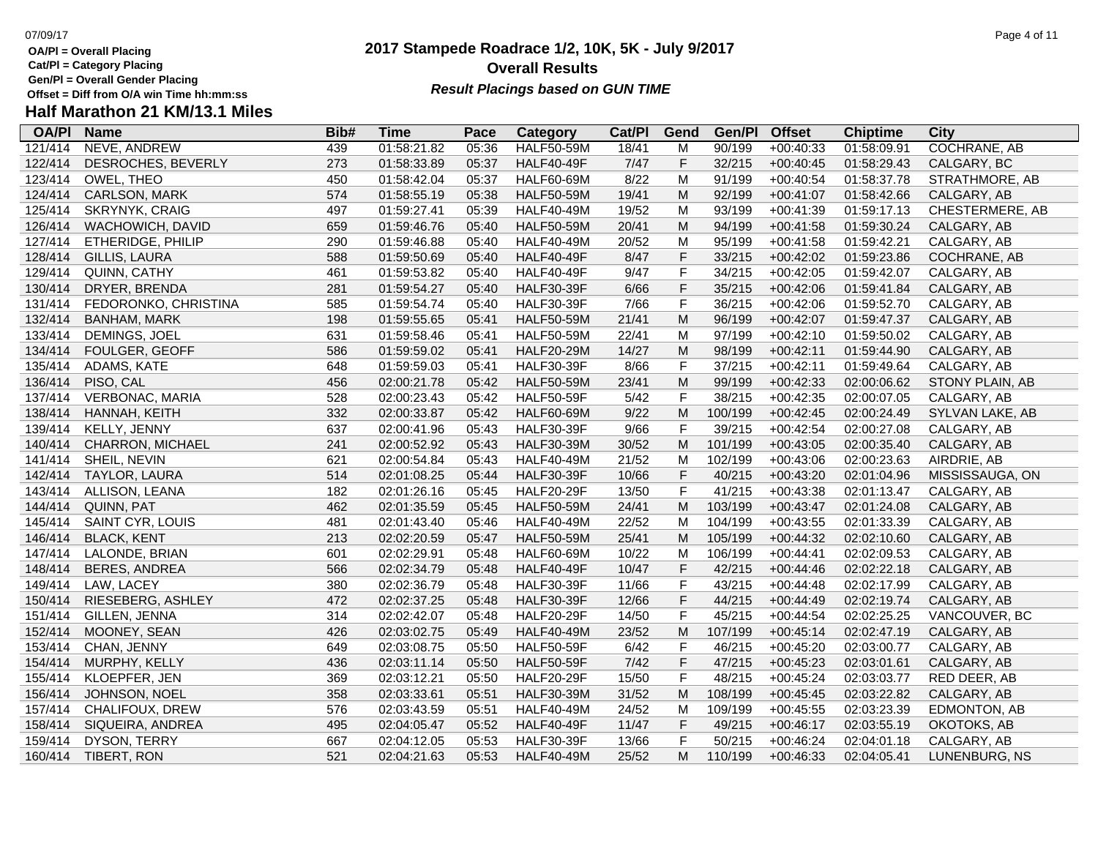**Cat/Pl = Category Placing**

**Gen/Pl = Overall Gender Placing**

### **2017 Stampede Roadrace 1/2, 10K, 5K - July 9/2017** 07/09/17 Page 4 of 11 **Overall Results Result Placings based on GUN TIME**

| Half Marathon 21 KM/13.1 Miles |  |  |
|--------------------------------|--|--|
|                                |  |  |

| <b>OA/PI</b> | <b>Name</b>            | Bib# | <b>Time</b> | Pace  | Category          | Cat/PI | Gend                                                                                                       | Gen/Pl  | <b>Offset</b> | <b>Chiptime</b> | City                |
|--------------|------------------------|------|-------------|-------|-------------------|--------|------------------------------------------------------------------------------------------------------------|---------|---------------|-----------------|---------------------|
| 121/414      | <b>NEVE, ANDREW</b>    | 439  | 01:58:21.82 | 05:36 | <b>HALF50-59M</b> | 18/41  | M                                                                                                          | 90/199  | $+00:40:33$   | 01:58:09.91     | <b>COCHRANE, AB</b> |
| 122/414      | DESROCHES, BEVERLY     | 273  | 01:58:33.89 | 05:37 | <b>HALF40-49F</b> | 7/47   | F                                                                                                          | 32/215  | $+00:40:45$   | 01:58:29.43     | CALGARY, BC         |
| 123/414      | OWEL, THEO             | 450  | 01:58:42.04 | 05:37 | <b>HALF60-69M</b> | 8/22   | M                                                                                                          | 91/199  | $+00:40:54$   | 01:58:37.78     | STRATHMORE, AB      |
| 124/414      | CARLSON, MARK          | 574  | 01:58:55.19 | 05:38 | <b>HALF50-59M</b> | 19/41  | M                                                                                                          | 92/199  | $+00:41:07$   | 01:58:42.66     | CALGARY, AB         |
| 125/414      | SKRYNYK, CRAIG         | 497  | 01:59:27.41 | 05:39 | <b>HALF40-49M</b> | 19/52  | M                                                                                                          | 93/199  | $+00:41:39$   | 01:59:17.13     | CHESTERMERE, AB     |
| 126/414      | WACHOWICH, DAVID       | 659  | 01:59:46.76 | 05:40 | <b>HALF50-59M</b> | 20/41  | M                                                                                                          | 94/199  | $+00:41:58$   | 01:59:30.24     | CALGARY, AB         |
| 127/414      | ETHERIDGE, PHILIP      | 290  | 01:59:46.88 | 05:40 | <b>HALF40-49M</b> | 20/52  | M                                                                                                          | 95/199  | $+00:41:58$   | 01:59:42.21     | CALGARY, AB         |
| 128/414      | GILLIS, LAURA          | 588  | 01:59:50.69 | 05:40 | <b>HALF40-49F</b> | 8/47   | F                                                                                                          | 33/215  | $+00:42:02$   | 01:59:23.86     | COCHRANE, AB        |
| 129/414      | QUINN, CATHY           | 461  | 01:59:53.82 | 05:40 | <b>HALF40-49F</b> | 9/47   | F                                                                                                          | 34/215  | $+00:42:05$   | 01:59:42.07     | CALGARY, AB         |
| 130/414      | DRYER, BRENDA          | 281  | 01:59:54.27 | 05:40 | <b>HALF30-39F</b> | 6/66   | F                                                                                                          | 35/215  | $+00:42:06$   | 01:59:41.84     | CALGARY, AB         |
| 131/414      | FEDORONKO, CHRISTINA   | 585  | 01:59:54.74 | 05:40 | <b>HALF30-39F</b> | 7/66   | F                                                                                                          | 36/215  | $+00:42:06$   | 01:59:52.70     | CALGARY, AB         |
| 132/414      | <b>BANHAM, MARK</b>    | 198  | 01:59:55.65 | 05:41 | <b>HALF50-59M</b> | 21/41  | M                                                                                                          | 96/199  | $+00:42:07$   | 01:59:47.37     | CALGARY, AB         |
| 133/414      | DEMINGS, JOEL          | 631  | 01:59:58.46 | 05:41 | <b>HALF50-59M</b> | 22/41  | M                                                                                                          | 97/199  | $+00:42:10$   | 01:59:50.02     | CALGARY, AB         |
| 134/414      | FOULGER, GEOFF         | 586  | 01:59:59.02 | 05:41 | <b>HALF20-29M</b> | 14/27  | M                                                                                                          | 98/199  | $+00:42:11$   | 01:59:44.90     | CALGARY, AB         |
| 135/414      | ADAMS, KATE            | 648  | 01:59:59.03 | 05:41 | <b>HALF30-39F</b> | 8/66   | F                                                                                                          | 37/215  | $+00:42:11$   | 01:59:49.64     | CALGARY, AB         |
| 136/414      | PISO, CAL              | 456  | 02:00:21.78 | 05:42 | <b>HALF50-59M</b> | 23/41  | M                                                                                                          | 99/199  | $+00:42:33$   | 02:00:06.62     | STONY PLAIN, AB     |
| 137/414      | <b>VERBONAC, MARIA</b> | 528  | 02:00:23.43 | 05:42 | <b>HALF50-59F</b> | 5/42   | F                                                                                                          | 38/215  | $+00:42:35$   | 02:00:07.05     | CALGARY, AB         |
| 138/414      | HANNAH, KEITH          | 332  | 02:00:33.87 | 05:42 | <b>HALF60-69M</b> | 9/22   | M                                                                                                          | 100/199 | $+00:42:45$   | 02:00:24.49     | SYLVAN LAKE, AB     |
| 139/414      | KELLY, JENNY           | 637  | 02:00:41.96 | 05:43 | <b>HALF30-39F</b> | 9/66   | F                                                                                                          | 39/215  | $+00:42:54$   | 02:00:27.08     | CALGARY, AB         |
| 140/414      | CHARRON, MICHAEL       | 241  | 02:00:52.92 | 05:43 | <b>HALF30-39M</b> | 30/52  | M                                                                                                          | 101/199 | $+00:43:05$   | 02:00:35.40     | CALGARY, AB         |
| 141/414      | SHEIL, NEVIN           | 621  | 02:00:54.84 | 05:43 | <b>HALF40-49M</b> | 21/52  | M                                                                                                          | 102/199 | $+00:43:06$   | 02:00:23.63     | AIRDRIE, AB         |
| 142/414      | TAYLOR, LAURA          | 514  | 02:01:08.25 | 05:44 | <b>HALF30-39F</b> | 10/66  | F                                                                                                          | 40/215  | $+00:43:20$   | 02:01:04.96     | MISSISSAUGA, ON     |
| 143/414      | ALLISON, LEANA         | 182  | 02:01:26.16 | 05:45 | <b>HALF20-29F</b> | 13/50  | F                                                                                                          | 41/215  | $+00:43:38$   | 02:01:13.47     | CALGARY, AB         |
| 144/414      | QUINN, PAT             | 462  | 02:01:35.59 | 05:45 | <b>HALF50-59M</b> | 24/41  | M                                                                                                          | 103/199 | $+00:43:47$   | 02:01:24.08     | CALGARY, AB         |
| 145/414      | SAINT CYR, LOUIS       | 481  | 02:01:43.40 | 05:46 | <b>HALF40-49M</b> | 22/52  | M                                                                                                          | 104/199 | $+00:43:55$   | 02:01:33.39     | CALGARY, AB         |
| 146/414      | <b>BLACK, KENT</b>     | 213  | 02:02:20.59 | 05:47 | <b>HALF50-59M</b> | 25/41  | M                                                                                                          | 105/199 | $+00:44:32$   | 02:02:10.60     | CALGARY, AB         |
| 147/414      | LALONDE, BRIAN         | 601  | 02:02:29.91 | 05:48 | <b>HALF60-69M</b> | 10/22  | M                                                                                                          | 106/199 | $+00:44:41$   | 02:02:09.53     | CALGARY, AB         |
| 148/414      | <b>BERES, ANDREA</b>   | 566  | 02:02:34.79 | 05:48 | <b>HALF40-49F</b> | 10/47  | F                                                                                                          | 42/215  | $+00:44:46$   | 02:02:22.18     | CALGARY, AB         |
| 149/414      | LAW, LACEY             | 380  | 02:02:36.79 | 05:48 | <b>HALF30-39F</b> | 11/66  | F                                                                                                          | 43/215  | $+00:44:48$   | 02:02:17.99     | CALGARY, AB         |
| 150/414      | RIESEBERG, ASHLEY      | 472  | 02:02:37.25 | 05:48 | <b>HALF30-39F</b> | 12/66  | F                                                                                                          | 44/215  | $+00:44:49$   | 02:02:19.74     | CALGARY, AB         |
| 151/414      | GILLEN, JENNA          | 314  | 02:02:42.07 | 05:48 | <b>HALF20-29F</b> | 14/50  | F                                                                                                          | 45/215  | $+00:44:54$   | 02:02:25.25     | VANCOUVER, BC       |
| 152/414      | MOONEY, SEAN           | 426  | 02:03:02.75 | 05:49 | <b>HALF40-49M</b> | 23/52  | $\mathsf{M}% _{T}=\mathsf{M}_{T}\!\left( a,b\right) ,\ \mathsf{M}_{T}=\mathsf{M}_{T}\!\left( a,b\right) ,$ | 107/199 | $+00:45:14$   | 02:02:47.19     | CALGARY, AB         |
| 153/414      | CHAN, JENNY            | 649  | 02:03:08.75 | 05:50 | <b>HALF50-59F</b> | 6/42   | F                                                                                                          | 46/215  | $+00:45:20$   | 02:03:00.77     | CALGARY, AB         |
| 154/414      | MURPHY, KELLY          | 436  | 02:03:11.14 | 05:50 | <b>HALF50-59F</b> | $7/42$ | F                                                                                                          | 47/215  | $+00:45:23$   | 02:03:01.61     | CALGARY, AB         |
| 155/414      | KLOEPFER, JEN          | 369  | 02:03:12.21 | 05:50 | <b>HALF20-29F</b> | 15/50  | F                                                                                                          | 48/215  | $+00:45:24$   | 02:03:03.77     | RED DEER, AB        |
| 156/414      | JOHNSON, NOEL          | 358  | 02:03:33.61 | 05:51 | <b>HALF30-39M</b> | 31/52  | M                                                                                                          | 108/199 | $+00:45:45$   | 02:03:22.82     | CALGARY, AB         |
| 157/414      | CHALIFOUX, DREW        | 576  | 02:03:43.59 | 05:51 | <b>HALF40-49M</b> | 24/52  | M                                                                                                          | 109/199 | $+00:45:55$   | 02:03:23.39     | EDMONTON, AB        |
| 158/414      | SIQUEIRA, ANDREA       | 495  | 02:04:05.47 | 05:52 | <b>HALF40-49F</b> | 11/47  | F                                                                                                          | 49/215  | $+00:46:17$   | 02:03:55.19     | OKOTOKS, AB         |
| 159/414      | DYSON, TERRY           | 667  | 02:04:12.05 | 05:53 | <b>HALF30-39F</b> | 13/66  | F                                                                                                          | 50/215  | $+00:46:24$   | 02:04:01.18     | CALGARY, AB         |
| 160/414      | TIBERT, RON            | 521  | 02:04:21.63 | 05:53 | <b>HALF40-49M</b> | 25/52  | M                                                                                                          | 110/199 | $+00:46:33$   | 02:04:05.41     | LUNENBURG, NS       |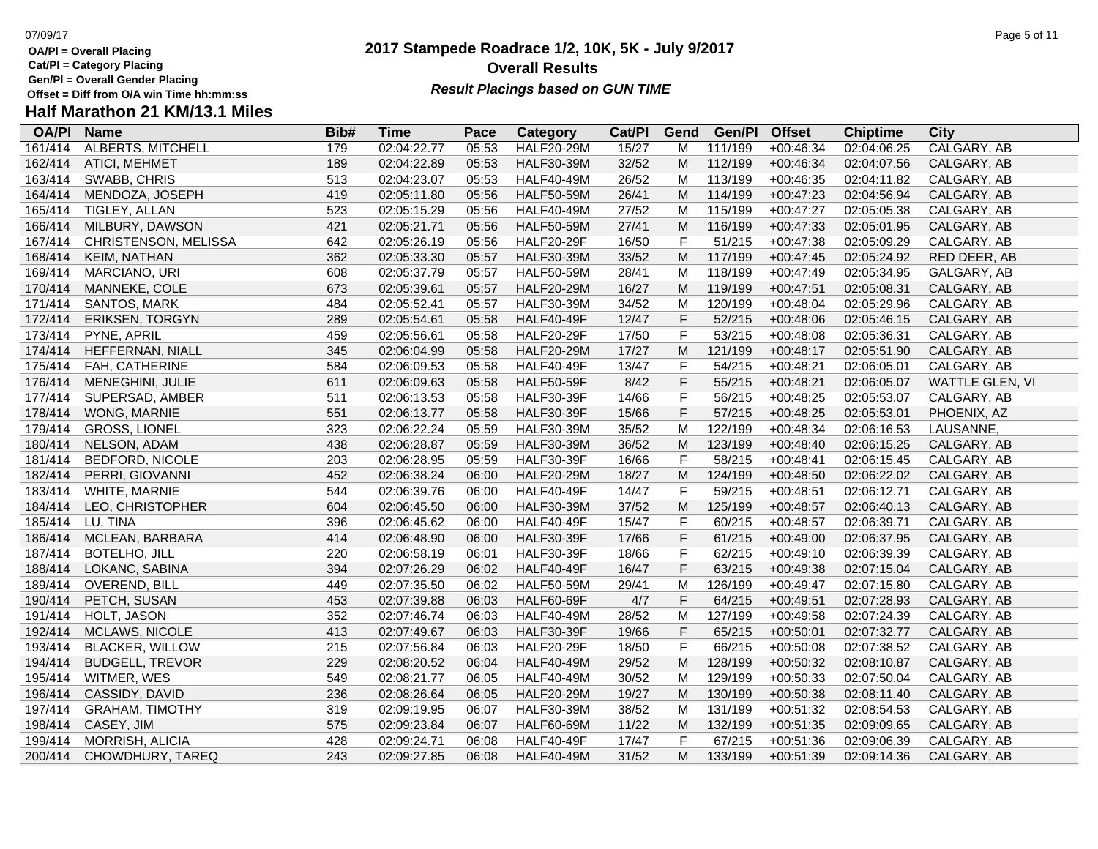**Cat/Pl = Category Placing**

**Gen/Pl = Overall Gender Placing**

## **Half Marathon 21 KM/13.1 Miles**

| <b>Name</b>            | Bib#                                                                                                                                                                        | Time                                                               | Pace                                                                                   | Category                | Cat/PI                                                                                                                                          | Gend                                                                                                                                                                          | Gen/Pl                                                                                                                                                                                                         | <b>Offset</b>                                                                                                                                              | <b>Chiptime</b>                                                                                                                                    | City                                                                                                                                                                             |
|------------------------|-----------------------------------------------------------------------------------------------------------------------------------------------------------------------------|--------------------------------------------------------------------|----------------------------------------------------------------------------------------|-------------------------|-------------------------------------------------------------------------------------------------------------------------------------------------|-------------------------------------------------------------------------------------------------------------------------------------------------------------------------------|----------------------------------------------------------------------------------------------------------------------------------------------------------------------------------------------------------------|------------------------------------------------------------------------------------------------------------------------------------------------------------|----------------------------------------------------------------------------------------------------------------------------------------------------|----------------------------------------------------------------------------------------------------------------------------------------------------------------------------------|
|                        |                                                                                                                                                                             | 02:04:22.77                                                        |                                                                                        |                         |                                                                                                                                                 | M                                                                                                                                                                             |                                                                                                                                                                                                                | $+00:46:34$                                                                                                                                                |                                                                                                                                                    | CALGARY, AB                                                                                                                                                                      |
| ATICI, MEHMET          |                                                                                                                                                                             | 02:04:22.89                                                        | 05:53                                                                                  | <b>HALF30-39M</b>       |                                                                                                                                                 | M                                                                                                                                                                             |                                                                                                                                                                                                                | $+00:46:34$                                                                                                                                                | 02:04:07.56                                                                                                                                        | CALGARY, AB                                                                                                                                                                      |
| SWABB, CHRIS           | 513                                                                                                                                                                         | 02:04:23.07                                                        | 05:53                                                                                  | <b>HALF40-49M</b>       |                                                                                                                                                 | M                                                                                                                                                                             |                                                                                                                                                                                                                | $+00:46:35$                                                                                                                                                | 02:04:11.82                                                                                                                                        | CALGARY, AB                                                                                                                                                                      |
| MENDOZA, JOSEPH        | 419                                                                                                                                                                         | 02:05:11.80                                                        | 05:56                                                                                  | <b>HALF50-59M</b>       |                                                                                                                                                 | M                                                                                                                                                                             |                                                                                                                                                                                                                | $+00:47:23$                                                                                                                                                | 02:04:56.94                                                                                                                                        | CALGARY, AB                                                                                                                                                                      |
| TIGLEY, ALLAN          | 523                                                                                                                                                                         | 02:05:15.29                                                        | 05:56                                                                                  | <b>HALF40-49M</b>       | 27/52                                                                                                                                           | М                                                                                                                                                                             | 115/199                                                                                                                                                                                                        | $+00:47:27$                                                                                                                                                | 02:05:05.38                                                                                                                                        | CALGARY, AB                                                                                                                                                                      |
| MILBURY, DAWSON        |                                                                                                                                                                             | 02:05:21.71                                                        | 05:56                                                                                  | <b>HALF50-59M</b>       |                                                                                                                                                 | M                                                                                                                                                                             |                                                                                                                                                                                                                |                                                                                                                                                            |                                                                                                                                                    | CALGARY, AB                                                                                                                                                                      |
| CHRISTENSON, MELISSA   | 642                                                                                                                                                                         | 02:05:26.19                                                        | 05:56                                                                                  | <b>HALF20-29F</b>       |                                                                                                                                                 |                                                                                                                                                                               |                                                                                                                                                                                                                | $+00:47:38$                                                                                                                                                | 02:05:09.29                                                                                                                                        | CALGARY, AB                                                                                                                                                                      |
| <b>KEIM, NATHAN</b>    | 362                                                                                                                                                                         | 02:05:33.30                                                        | 05:57                                                                                  | <b>HALF30-39M</b>       | 33/52                                                                                                                                           | M                                                                                                                                                                             | 117/199                                                                                                                                                                                                        | $+00:47:45$                                                                                                                                                | 02:05:24.92                                                                                                                                        | RED DEER, AB                                                                                                                                                                     |
| MARCIANO, URI          | 608                                                                                                                                                                         | 02:05:37.79                                                        | 05:57                                                                                  | <b>HALF50-59M</b>       | 28/41                                                                                                                                           | M                                                                                                                                                                             | 118/199                                                                                                                                                                                                        | $+00:47:49$                                                                                                                                                | 02:05:34.95                                                                                                                                        | GALGARY, AB                                                                                                                                                                      |
| MANNEKE, COLE          | 673                                                                                                                                                                         | 02:05:39.61                                                        | 05:57                                                                                  | <b>HALF20-29M</b>       | 16/27                                                                                                                                           | M                                                                                                                                                                             | 119/199                                                                                                                                                                                                        | $+00:47:51$                                                                                                                                                | 02:05:08.31                                                                                                                                        | CALGARY, AB                                                                                                                                                                      |
| SANTOS, MARK           | 484                                                                                                                                                                         | 02:05:52.41                                                        | 05:57                                                                                  | <b>HALF30-39M</b>       | 34/52                                                                                                                                           | M                                                                                                                                                                             | 120/199                                                                                                                                                                                                        | $+00:48:04$                                                                                                                                                | 02:05:29.96                                                                                                                                        | CALGARY, AB                                                                                                                                                                      |
|                        | 289                                                                                                                                                                         | 02:05:54.61                                                        | 05:58                                                                                  | <b>HALF40-49F</b>       | 12/47                                                                                                                                           |                                                                                                                                                                               | 52/215                                                                                                                                                                                                         | $+00:48:06$                                                                                                                                                | 02:05:46.15                                                                                                                                        | CALGARY, AB                                                                                                                                                                      |
| PYNE, APRIL            | 459                                                                                                                                                                         | 02:05:56.61                                                        | 05:58                                                                                  | <b>HALF20-29F</b>       | 17/50                                                                                                                                           |                                                                                                                                                                               | 53/215                                                                                                                                                                                                         | $+00:48:08$                                                                                                                                                | 02:05:36.31                                                                                                                                        | CALGARY, AB                                                                                                                                                                      |
| HEFFERNAN, NIALL       | 345                                                                                                                                                                         | 02:06:04.99                                                        | 05:58                                                                                  | <b>HALF20-29M</b>       | 17/27                                                                                                                                           | M                                                                                                                                                                             | 121/199                                                                                                                                                                                                        | $+00:48:17$                                                                                                                                                | 02:05:51.90                                                                                                                                        | CALGARY, AB                                                                                                                                                                      |
| FAH, CATHERINE         | 584                                                                                                                                                                         | 02:06:09.53                                                        | 05:58                                                                                  | <b>HALF40-49F</b>       | 13/47                                                                                                                                           | F                                                                                                                                                                             | 54/215                                                                                                                                                                                                         | $+00:48:21$                                                                                                                                                | 02:06:05.01                                                                                                                                        | CALGARY, AB                                                                                                                                                                      |
| MENEGHINI, JULIE       | 611                                                                                                                                                                         | 02:06:09.63                                                        | 05:58                                                                                  | <b>HALF50-59F</b>       |                                                                                                                                                 |                                                                                                                                                                               | 55/215                                                                                                                                                                                                         | $+00:48:21$                                                                                                                                                | 02:06:05.07                                                                                                                                        | WATTLE GLEN, VI                                                                                                                                                                  |
| SUPERSAD, AMBER        | 511                                                                                                                                                                         | 02:06:13.53                                                        | 05:58                                                                                  | <b>HALF30-39F</b>       | 14/66                                                                                                                                           |                                                                                                                                                                               | 56/215                                                                                                                                                                                                         | $+00:48:25$                                                                                                                                                | 02:05:53.07                                                                                                                                        | CALGARY, AB                                                                                                                                                                      |
| WONG, MARNIE           | 551                                                                                                                                                                         | 02:06:13.77                                                        | 05:58                                                                                  | <b>HALF30-39F</b>       | 15/66                                                                                                                                           |                                                                                                                                                                               | 57/215                                                                                                                                                                                                         | $+00:48:25$                                                                                                                                                | 02:05:53.01                                                                                                                                        | PHOENIX, AZ                                                                                                                                                                      |
| <b>GROSS, LIONEL</b>   | 323                                                                                                                                                                         | 02:06:22.24                                                        | 05:59                                                                                  | <b>HALF30-39M</b>       | 35/52                                                                                                                                           | M                                                                                                                                                                             | 122/199                                                                                                                                                                                                        | $+00:48:34$                                                                                                                                                | 02:06:16.53                                                                                                                                        | LAUSANNE,                                                                                                                                                                        |
| NELSON, ADAM           | 438                                                                                                                                                                         | 02:06:28.87                                                        | 05:59                                                                                  | <b>HALF30-39M</b>       | 36/52                                                                                                                                           | M                                                                                                                                                                             | 123/199                                                                                                                                                                                                        | $+00:48:40$                                                                                                                                                | 02:06:15.25                                                                                                                                        | CALGARY, AB                                                                                                                                                                      |
|                        | 203                                                                                                                                                                         | 02:06:28.95                                                        | 05:59                                                                                  | <b>HALF30-39F</b>       |                                                                                                                                                 |                                                                                                                                                                               |                                                                                                                                                                                                                | $+00:48:41$                                                                                                                                                | 02:06:15.45                                                                                                                                        | CALGARY, AB                                                                                                                                                                      |
| PERRI, GIOVANNI        | 452                                                                                                                                                                         | 02:06:38.24                                                        | 06:00                                                                                  | <b>HALF20-29M</b>       | 18/27                                                                                                                                           | M                                                                                                                                                                             | 124/199                                                                                                                                                                                                        | $+00:48:50$                                                                                                                                                | 02:06:22.02                                                                                                                                        | CALGARY, AB                                                                                                                                                                      |
| WHITE, MARNIE          | 544                                                                                                                                                                         | 02:06:39.76                                                        | 06:00                                                                                  | <b>HALF40-49F</b>       | 14/47                                                                                                                                           |                                                                                                                                                                               | 59/215                                                                                                                                                                                                         | $+00:48:51$                                                                                                                                                | 02:06:12.71                                                                                                                                        | CALGARY, AB                                                                                                                                                                      |
| LEO, CHRISTOPHER       | 604                                                                                                                                                                         | 02:06:45.50                                                        | 06:00                                                                                  | <b>HALF30-39M</b>       |                                                                                                                                                 | M                                                                                                                                                                             | 125/199                                                                                                                                                                                                        | $+00:48:57$                                                                                                                                                | 02:06:40.13                                                                                                                                        | CALGARY, AB                                                                                                                                                                      |
| LU, TINA               | 396                                                                                                                                                                         | 02:06:45.62                                                        | 06:00                                                                                  | <b>HALF40-49F</b>       | 15/47                                                                                                                                           |                                                                                                                                                                               | 60/215                                                                                                                                                                                                         |                                                                                                                                                            | 02:06:39.71                                                                                                                                        | CALGARY, AB                                                                                                                                                                      |
|                        |                                                                                                                                                                             | 02:06:48.90                                                        | 06:00                                                                                  |                         |                                                                                                                                                 |                                                                                                                                                                               |                                                                                                                                                                                                                |                                                                                                                                                            |                                                                                                                                                    | CALGARY, AB                                                                                                                                                                      |
| <b>BOTELHO, JILL</b>   |                                                                                                                                                                             | 02:06:58.19                                                        | 06:01                                                                                  | <b>HALF30-39F</b>       |                                                                                                                                                 |                                                                                                                                                                               |                                                                                                                                                                                                                |                                                                                                                                                            |                                                                                                                                                    | CALGARY, AB                                                                                                                                                                      |
| LOKANC, SABINA         |                                                                                                                                                                             | 02:07:26.29                                                        | 06:02                                                                                  | <b>HALF40-49F</b>       | 16/47                                                                                                                                           |                                                                                                                                                                               |                                                                                                                                                                                                                | $+00:49:38$                                                                                                                                                | 02:07:15.04                                                                                                                                        | CALGARY, AB                                                                                                                                                                      |
| <b>OVEREND, BILL</b>   | 449                                                                                                                                                                         | 02:07:35.50                                                        | 06:02                                                                                  | <b>HALF50-59M</b>       |                                                                                                                                                 | М                                                                                                                                                                             | 126/199                                                                                                                                                                                                        | $+00:49:47$                                                                                                                                                |                                                                                                                                                    | CALGARY, AB                                                                                                                                                                      |
|                        | 453                                                                                                                                                                         |                                                                    | 06:03                                                                                  | <b>HALF60-69F</b>       |                                                                                                                                                 |                                                                                                                                                                               | 64/215                                                                                                                                                                                                         |                                                                                                                                                            |                                                                                                                                                    | CALGARY, AB                                                                                                                                                                      |
|                        |                                                                                                                                                                             |                                                                    | 06:03                                                                                  |                         |                                                                                                                                                 |                                                                                                                                                                               |                                                                                                                                                                                                                |                                                                                                                                                            |                                                                                                                                                    | CALGARY, AB                                                                                                                                                                      |
| <b>MCLAWS, NICOLE</b>  |                                                                                                                                                                             |                                                                    | 06:03                                                                                  |                         |                                                                                                                                                 |                                                                                                                                                                               |                                                                                                                                                                                                                |                                                                                                                                                            |                                                                                                                                                    | CALGARY, AB                                                                                                                                                                      |
| <b>BLACKER, WILLOW</b> | 215                                                                                                                                                                         |                                                                    | 06:03                                                                                  | <b>HALF20-29F</b>       |                                                                                                                                                 |                                                                                                                                                                               |                                                                                                                                                                                                                | $+00:50:08$                                                                                                                                                |                                                                                                                                                    | CALGARY, AB                                                                                                                                                                      |
| <b>BUDGELL, TREVOR</b> | 229                                                                                                                                                                         | 02:08:20.52                                                        | 06:04                                                                                  | <b>HALF40-49M</b>       |                                                                                                                                                 |                                                                                                                                                                               | 128/199                                                                                                                                                                                                        | $+00:50:32$                                                                                                                                                | 02:08:10.87                                                                                                                                        | CALGARY, AB                                                                                                                                                                      |
|                        | 549                                                                                                                                                                         | 02:08:21.77                                                        | 06:05                                                                                  | <b>HALF40-49M</b>       |                                                                                                                                                 | M                                                                                                                                                                             | 129/199                                                                                                                                                                                                        |                                                                                                                                                            |                                                                                                                                                    | CALGARY, AB                                                                                                                                                                      |
|                        |                                                                                                                                                                             |                                                                    |                                                                                        |                         |                                                                                                                                                 |                                                                                                                                                                               |                                                                                                                                                                                                                |                                                                                                                                                            |                                                                                                                                                    | CALGARY, AB                                                                                                                                                                      |
|                        |                                                                                                                                                                             |                                                                    |                                                                                        |                         |                                                                                                                                                 |                                                                                                                                                                               |                                                                                                                                                                                                                |                                                                                                                                                            |                                                                                                                                                    | CALGARY, AB                                                                                                                                                                      |
| CASEY, JIM             | 575                                                                                                                                                                         | 02:09:23.84                                                        | 06:07                                                                                  |                         | 11/22                                                                                                                                           | M                                                                                                                                                                             | 132/199                                                                                                                                                                                                        | $+00:51:35$                                                                                                                                                | 02:09:09.65                                                                                                                                        | CALGARY, AB                                                                                                                                                                      |
| <b>MORRISH, ALICIA</b> | 428                                                                                                                                                                         | 02:09:24.71                                                        | 06:08                                                                                  | <b>HALF40-49F</b>       | 17/47                                                                                                                                           |                                                                                                                                                                               | 67/215                                                                                                                                                                                                         | $+00:51:36$                                                                                                                                                | 02:09:06.39                                                                                                                                        | CALGARY, AB                                                                                                                                                                      |
| CHOWDHURY, TAREQ       | 243                                                                                                                                                                         | 02:09:27.85                                                        | 06:08                                                                                  | <b>HALF40-49M</b>       | 31/52                                                                                                                                           | M                                                                                                                                                                             | 133/199                                                                                                                                                                                                        | $+00:51:39$                                                                                                                                                | 02:09:14.36                                                                                                                                        | CALGARY, AB                                                                                                                                                                      |
|                        | ALBERTS, MITCHELL<br>ERIKSEN, TORGYN<br><b>BEDFORD, NICOLE</b><br>MCLEAN, BARBARA<br>PETCH, SUSAN<br>HOLT, JASON<br>WITMER, WES<br>CASSIDY, DAVID<br><b>GRAHAM, TIMOTHY</b> | 179<br>189<br>421<br>414<br>220<br>394<br>352<br>413<br>236<br>319 | 02:07:39.88<br>02:07:46.74<br>02:07:49.67<br>02:07:56.84<br>02:08:26.64<br>02:09:19.95 | 05:53<br>06:05<br>06:07 | <b>HALF20-29M</b><br><b>HALF30-39F</b><br><b>HALF40-49M</b><br><b>HALF30-39F</b><br><b>HALF20-29M</b><br><b>HALF30-39M</b><br><b>HALF60-69M</b> | 15/27<br>32/52<br>26/52<br>26/41<br>27/41<br>16/50<br>8/42<br>16/66<br>37/52<br>17/66<br>18/66<br>29/41<br>4/7<br>28/52<br>19/66<br>18/50<br>29/52<br>30/52<br>19/27<br>38/52 | $\mathsf F$<br>$\mathsf F$<br>$\mathsf F$<br>$\mathsf F$<br>$\mathsf F$<br>$\mathsf F$<br>$\mathsf F$<br>F<br>F<br>$\mathsf F$<br>$\mathsf F$<br>$\mathsf F$<br>F<br>M<br>F<br>$\mathsf F$<br>M<br>M<br>M<br>F | 111/199<br>112/199<br>113/199<br>114/199<br>116/199<br>51/215<br>58/215<br>61/215<br>62/215<br>63/215<br>127/199<br>65/215<br>66/215<br>130/199<br>131/199 | $+00:47:33$<br>$+00:48:57$<br>$+00:49:00$<br>$+00:49:10$<br>$+00:49:51$<br>$+00:49:58$<br>$+00:50:01$<br>$+00:50:33$<br>$+00:50:38$<br>$+00:51:32$ | 02:04:06.25<br>02:05:01.95<br>02:06:37.95<br>02:06:39.39<br>02:07:15.80<br>02:07:28.93<br>02:07:24.39<br>02:07:32.77<br>02:07:38.52<br>02:07:50.04<br>02:08:11.40<br>02:08:54.53 |

### **2017 Stampede Roadrace 1/2, 10K, 5K - July 9/2017 Overall Results**

**Result Placings based on GUN TIME**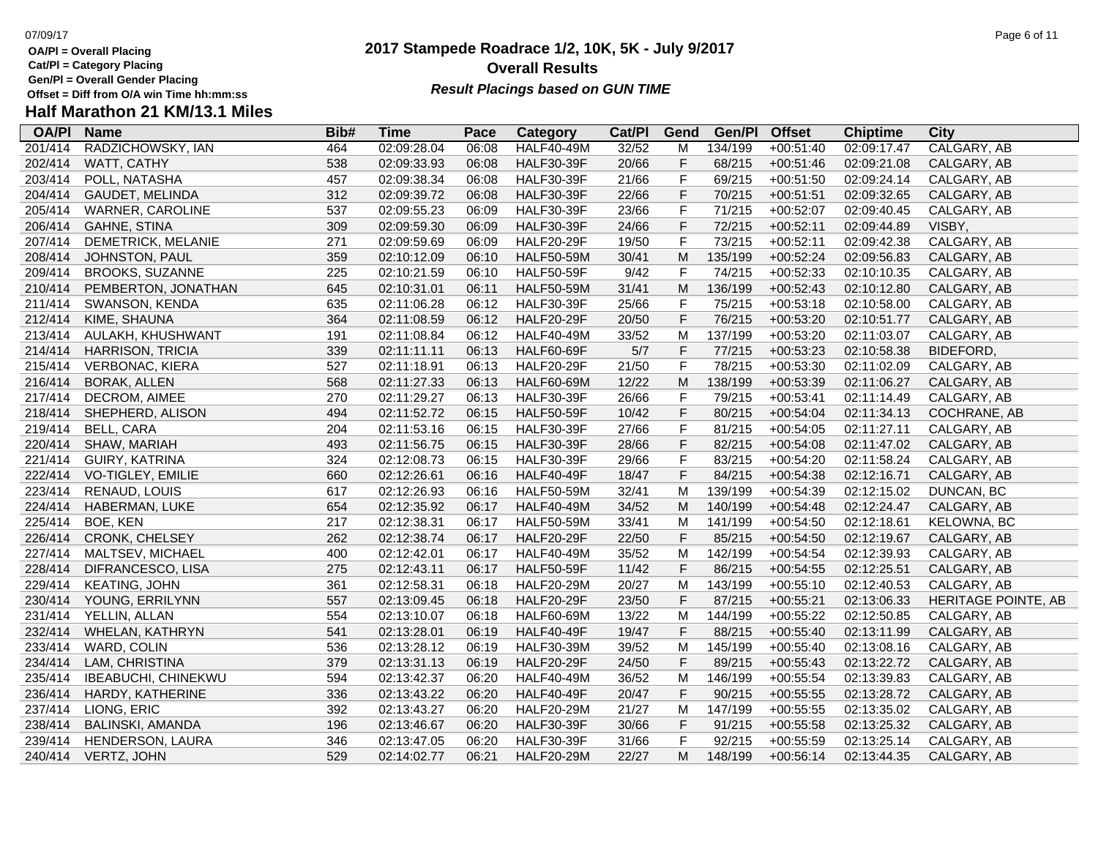- **Cat/Pl = Category Placing**
- **Gen/Pl = Overall Gender Placing**
- **Half Marathon 21 KM/13.1 Miles**

### **2017 Stampede Roadrace 1/2, 10K, 5K - July 9/2017** 07/09/17 Page 6 of 11 **Overall Results** Gen/PI = Overall Gender Placing<br>Offset = Diff from O/A win Time hh:mm:ss *Result Placings based on GUN TIME*

| <b>OA/PI</b> | <b>Name</b>                | Bib# | <b>Time</b> | Pace  | Category          | Cat/PI | Gend        | Gen/Pl  | <b>Offset</b> | <b>Chiptime</b> | City                |
|--------------|----------------------------|------|-------------|-------|-------------------|--------|-------------|---------|---------------|-----------------|---------------------|
| 201/414      | RADZICHOWSKY, IAN          | 464  | 02:09:28.04 | 06:08 | <b>HALF40-49M</b> | 32/52  | M           | 134/199 | $+00:51:40$   | 02:09:17.47     | CALGARY, AB         |
| 202/414      | WATT, CATHY                | 538  | 02:09:33.93 | 06:08 | <b>HALF30-39F</b> | 20/66  | F           | 68/215  | $+00:51:46$   | 02:09:21.08     | CALGARY, AB         |
| 203/414      | POLL, NATASHA              | 457  | 02:09:38.34 | 06:08 | <b>HALF30-39F</b> | 21/66  | F           | 69/215  | $+00:51:50$   | 02:09:24.14     | CALGARY, AB         |
| 204/414      | GAUDET, MELINDA            | 312  | 02:09:39.72 | 06:08 | <b>HALF30-39F</b> | 22/66  | F           | 70/215  | $+00:51:51$   | 02:09:32.65     | CALGARY, AB         |
| 205/414      | <b>WARNER, CAROLINE</b>    | 537  | 02:09:55.23 | 06:09 | <b>HALF30-39F</b> | 23/66  | F           | 71/215  | $+00:52:07$   | 02:09:40.45     | CALGARY, AB         |
| 206/414      | <b>GAHNE, STINA</b>        | 309  | 02:09:59.30 | 06:09 | <b>HALF30-39F</b> | 24/66  | $\mathsf F$ | 72/215  | $+00:52:11$   | 02:09:44.89     | VISBY,              |
| 207/414      | DEMETRICK, MELANIE         | 271  | 02:09:59.69 | 06:09 | <b>HALF20-29F</b> | 19/50  | F           | 73/215  | $+00:52:11$   | 02:09:42.38     | CALGARY, AB         |
| 208/414      | JOHNSTON, PAUL             | 359  | 02:10:12.09 | 06:10 | <b>HALF50-59M</b> | 30/41  | M           | 135/199 | $+00:52:24$   | 02:09:56.83     | CALGARY, AB         |
| 209/414      | <b>BROOKS, SUZANNE</b>     | 225  | 02:10:21.59 | 06:10 | <b>HALF50-59F</b> | 9/42   | F           | 74/215  | $+00:52:33$   | 02:10:10.35     | CALGARY, AB         |
| 210/414      | PEMBERTON, JONATHAN        | 645  | 02:10:31.01 | 06:11 | <b>HALF50-59M</b> | 31/41  | M           | 136/199 | $+00:52:43$   | 02:10:12.80     | CALGARY, AB         |
| 211/414      | SWANSON, KENDA             | 635  | 02:11:06.28 | 06:12 | <b>HALF30-39F</b> | 25/66  | F           | 75/215  | $+00:53:18$   | 02:10:58.00     | CALGARY, AB         |
| 212/414      | KIME, SHAUNA               | 364  | 02:11:08.59 | 06:12 | <b>HALF20-29F</b> | 20/50  | F           | 76/215  | $+00:53:20$   | 02:10:51.77     | CALGARY, AB         |
| 213/414      | AULAKH, KHUSHWANT          | 191  | 02:11:08.84 | 06:12 | <b>HALF40-49M</b> | 33/52  | M           | 137/199 | $+00:53:20$   | 02:11:03.07     | CALGARY, AB         |
| 214/414      | HARRISON, TRICIA           | 339  | 02:11:11.11 | 06:13 | <b>HALF60-69F</b> | 5/7    | F           | 77/215  | $+00:53:23$   | 02:10:58.38     | <b>BIDEFORD</b>     |
| 215/414      | <b>VERBONAC, KIERA</b>     | 527  | 02:11:18.91 | 06:13 | <b>HALF20-29F</b> | 21/50  | F           | 78/215  | $+00:53:30$   | 02:11:02.09     | CALGARY, AB         |
| 216/414      | <b>BORAK, ALLEN</b>        | 568  | 02:11:27.33 | 06:13 | <b>HALF60-69M</b> | 12/22  | M           | 138/199 | $+00:53:39$   | 02:11:06.27     | CALGARY, AB         |
| 217/414      | DECROM, AIMEE              | 270  | 02:11:29.27 | 06:13 | <b>HALF30-39F</b> | 26/66  | F           | 79/215  | $+00:53:41$   | 02:11:14.49     | CALGARY, AB         |
| 218/414      | SHEPHERD, ALISON           | 494  | 02:11:52.72 | 06:15 | <b>HALF50-59F</b> | 10/42  | F           | 80/215  | $+00:54:04$   | 02:11:34.13     | COCHRANE, AB        |
| 219/414      | <b>BELL, CARA</b>          | 204  | 02:11:53.16 | 06:15 | <b>HALF30-39F</b> | 27/66  | F           | 81/215  | $+00:54:05$   | 02:11:27.11     | CALGARY, AB         |
| 220/414      | SHAW, MARIAH               | 493  | 02:11:56.75 | 06:15 | <b>HALF30-39F</b> | 28/66  | F           | 82/215  | $+00:54:08$   | 02:11:47.02     | CALGARY, AB         |
| 221/414      | GUIRY, KATRINA             | 324  | 02:12:08.73 | 06:15 | <b>HALF30-39F</b> | 29/66  | F           | 83/215  | $+00:54:20$   | 02:11:58.24     | CALGARY, AB         |
| 222/414      | VO-TIGLEY, EMILIE          | 660  | 02:12:26.61 | 06:16 | <b>HALF40-49F</b> | 18/47  | F           | 84/215  | $+00:54:38$   | 02:12:16.71     | CALGARY, AB         |
| 223/414      | RENAUD, LOUIS              | 617  | 02:12:26.93 | 06:16 | <b>HALF50-59M</b> | 32/41  | M           | 139/199 | $+00:54:39$   | 02:12:15.02     | DUNCAN, BC          |
| 224/414      | HABERMAN, LUKE             | 654  | 02:12:35.92 | 06:17 | <b>HALF40-49M</b> | 34/52  | M           | 140/199 | $+00:54:48$   | 02:12:24.47     | CALGARY, AB         |
| 225/414      | BOE, KEN                   | 217  | 02:12:38.31 | 06:17 | <b>HALF50-59M</b> | 33/41  | M           | 141/199 | $+00:54:50$   | 02:12:18.61     | KELOWNA, BC         |
| 226/414      | <b>CRONK, CHELSEY</b>      | 262  | 02:12:38.74 | 06:17 | <b>HALF20-29F</b> | 22/50  | F           | 85/215  | $+00:54:50$   | 02:12:19.67     | CALGARY, AB         |
| 227/414      | MALTSEV, MICHAEL           | 400  | 02:12:42.01 | 06:17 | <b>HALF40-49M</b> | 35/52  | M           | 142/199 | $+00:54:54$   | 02:12:39.93     | CALGARY, AB         |
| 228/414      | DIFRANCESCO, LISA          | 275  | 02:12:43.11 | 06:17 | <b>HALF50-59F</b> | 11/42  | F           | 86/215  | $+00:54:55$   | 02:12:25.51     | CALGARY, AB         |
| 229/414      | <b>KEATING, JOHN</b>       | 361  | 02:12:58.31 | 06:18 | <b>HALF20-29M</b> | 20/27  | M           | 143/199 | $+00:55:10$   | 02:12:40.53     | CALGARY, AB         |
| 230/414      | YOUNG, ERRILYNN            | 557  | 02:13:09.45 | 06:18 | <b>HALF20-29F</b> | 23/50  | F           | 87/215  | $+00:55:21$   | 02:13:06.33     | HERITAGE POINTE, AB |
| 231/414      | YELLIN, ALLAN              | 554  | 02:13:10.07 | 06:18 | HALF60-69M        | 13/22  | м           | 144/199 | $+00:55:22$   | 02:12:50.85     | CALGARY, AB         |
| 232/414      | WHELAN, KATHRYN            | 541  | 02:13:28.01 | 06:19 | <b>HALF40-49F</b> | 19/47  | F           | 88/215  | $+00:55:40$   | 02:13:11.99     | CALGARY, AB         |
| 233/414      | WARD, COLIN                | 536  | 02:13:28.12 | 06:19 | <b>HALF30-39M</b> | 39/52  | M           | 145/199 | $+00:55:40$   | 02:13:08.16     | CALGARY, AB         |
| 234/414      | LAM, CHRISTINA             | 379  | 02:13:31.13 | 06:19 | <b>HALF20-29F</b> | 24/50  | F           | 89/215  | $+00:55:43$   | 02:13:22.72     | CALGARY, AB         |
| 235/414      | <b>IBEABUCHI, CHINEKWU</b> | 594  | 02:13:42.37 | 06:20 | <b>HALF40-49M</b> | 36/52  | M           | 146/199 | $+00:55:54$   | 02:13:39.83     | CALGARY, AB         |
| 236/414      | HARDY, KATHERINE           | 336  | 02:13:43.22 | 06:20 | <b>HALF40-49F</b> | 20/47  | F           | 90/215  | $+00:55:55$   | 02:13:28.72     | CALGARY, AB         |
| 237/414      | LIONG, ERIC                | 392  | 02:13:43.27 | 06:20 | <b>HALF20-29M</b> | 21/27  | м           | 147/199 | $+00:55:55$   | 02:13:35.02     | CALGARY, AB         |
| 238/414      | <b>BALINSKI, AMANDA</b>    | 196  | 02:13:46.67 | 06:20 | <b>HALF30-39F</b> | 30/66  | F           | 91/215  | $+00:55:58$   | 02:13:25.32     | CALGARY, AB         |
| 239/414      | HENDERSON, LAURA           | 346  | 02:13:47.05 | 06:20 | <b>HALF30-39F</b> | 31/66  | F           | 92/215  | $+00:55:59$   | 02:13:25.14     | CALGARY, AB         |
| 240/414      | <b>VERTZ, JOHN</b>         | 529  | 02:14:02.77 | 06:21 | <b>HALF20-29M</b> | 22/27  | М           | 148/199 | $+00:56:14$   | 02:13:44.35     | CALGARY, AB         |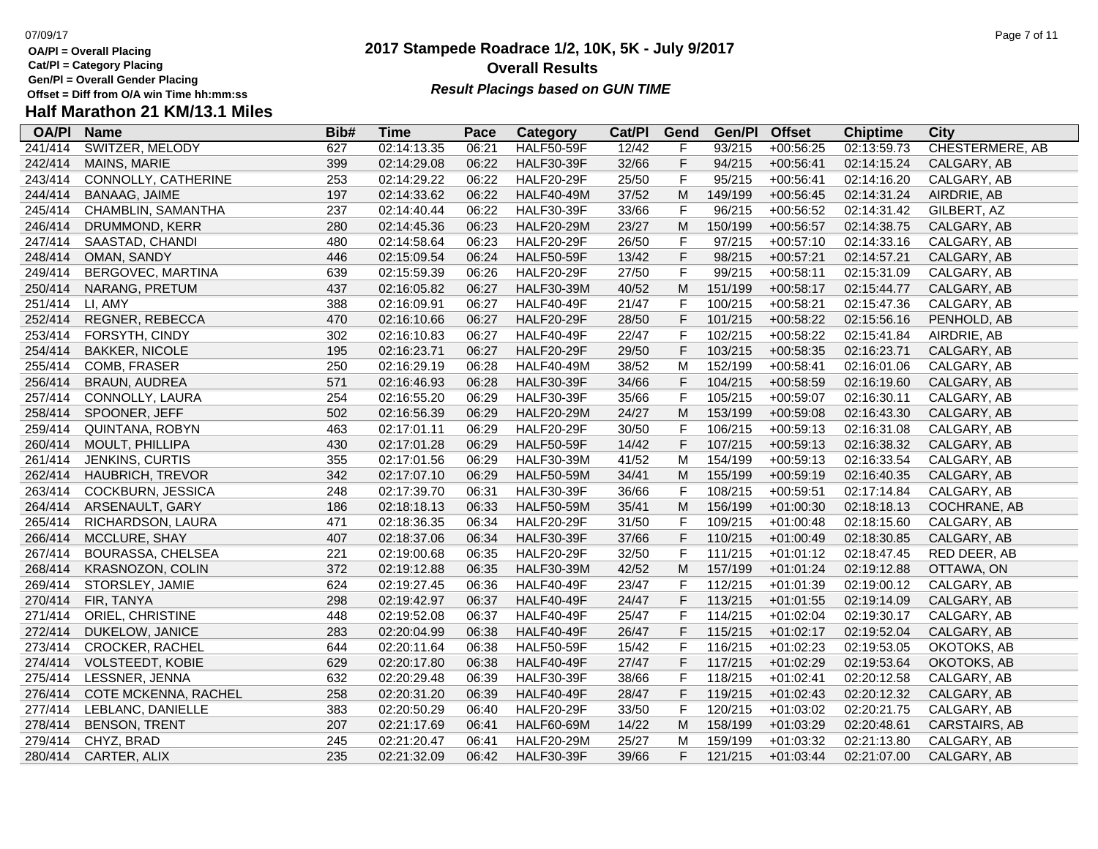**Cat/Pl = Category Placing**

**Gen/Pl = Overall Gender Placing**

### **2017 Stampede Roadrace 1/2, 10K, 5K - July 9/2017** 07/09/17 Page 7 of 11 **Overall Results Result Placings based on GUN TIME**

### **Half Marathon 21 KM/13.1 Miles**

| <b>OA/PI</b> | <b>Name</b>             | Bib# | Time        | Pace  | Category          | Cat/PI | Gend        | Gen/Pl  | <b>Offset</b> | <b>Chiptime</b> | City                   |
|--------------|-------------------------|------|-------------|-------|-------------------|--------|-------------|---------|---------------|-----------------|------------------------|
| 241/414      | SWITZER, MELODY         | 627  | 02:14:13.35 | 06:21 | <b>HALF50-59F</b> | 12/42  | F           | 93/215  | $+00:56:25$   | 02:13:59.73     | <b>CHESTERMERE, AB</b> |
| 242/414      | MAINS, MARIE            | 399  | 02:14:29.08 | 06:22 | <b>HALF30-39F</b> | 32/66  | F           | 94/215  | $+00:56:41$   | 02:14:15.24     | CALGARY, AB            |
| 243/414      | CONNOLLY, CATHERINE     | 253  | 02:14:29.22 | 06:22 | <b>HALF20-29F</b> | 25/50  | F           | 95/215  | $+00:56:41$   | 02:14:16.20     | CALGARY, AB            |
| 244/414      | <b>BANAAG, JAIME</b>    | 197  | 02:14:33.62 | 06:22 | <b>HALF40-49M</b> | 37/52  | M           | 149/199 | $+00:56:45$   | 02:14:31.24     | AIRDRIE, AB            |
| 245/414      | CHAMBLIN, SAMANTHA      | 237  | 02:14:40.44 | 06:22 | <b>HALF30-39F</b> | 33/66  | $\mathsf F$ | 96/215  | $+00:56:52$   | 02:14:31.42     | GILBERT, AZ            |
| 246/414      | DRUMMOND, KERR          | 280  | 02:14:45.36 | 06:23 | <b>HALF20-29M</b> | 23/27  | M           | 150/199 | $+00:56:57$   | 02:14:38.75     | CALGARY, AB            |
| 247/414      | SAASTAD, CHANDI         | 480  | 02:14:58.64 | 06:23 | <b>HALF20-29F</b> | 26/50  | $\mathsf F$ | 97/215  | $+00:57:10$   | 02:14:33.16     | CALGARY, AB            |
| 248/414      | OMAN, SANDY             | 446  | 02:15:09.54 | 06:24 | <b>HALF50-59F</b> | 13/42  | $\mathsf F$ | 98/215  | $+00:57:21$   | 02:14:57.21     | CALGARY, AB            |
| 249/414      | BERGOVEC, MARTINA       | 639  | 02:15:59.39 | 06:26 | <b>HALF20-29F</b> | 27/50  | $\mathsf F$ | 99/215  | $+00:58:11$   | 02:15:31.09     | CALGARY, AB            |
| 250/414      | NARANG, PRETUM          | 437  | 02:16:05.82 | 06:27 | <b>HALF30-39M</b> | 40/52  | M           | 151/199 | $+00:58:17$   | 02:15:44.77     | CALGARY, AB            |
| 251/414      | LI, AMY                 | 388  | 02:16:09.91 | 06:27 | <b>HALF40-49F</b> | 21/47  | $\mathsf F$ | 100/215 | $+00:58:21$   | 02:15:47.36     | CALGARY, AB            |
| 252/414      | REGNER, REBECCA         | 470  | 02:16:10.66 | 06:27 | <b>HALF20-29F</b> | 28/50  | F           | 101/215 | $+00:58:22$   | 02:15:56.16     | PENHOLD, AB            |
| 253/414      | FORSYTH, CINDY          | 302  | 02:16:10.83 | 06:27 | <b>HALF40-49F</b> | 22/47  | $\mathsf F$ | 102/215 | $+00:58:22$   | 02:15:41.84     | AIRDRIE, AB            |
| 254/414      | <b>BAKKER, NICOLE</b>   | 195  | 02:16:23.71 | 06:27 | <b>HALF20-29F</b> | 29/50  | F           | 103/215 | $+00:58:35$   | 02:16:23.71     | CALGARY, AB            |
| 255/414      | COMB, FRASER            | 250  | 02:16:29.19 | 06:28 | <b>HALF40-49M</b> | 38/52  | M           | 152/199 | $+00:58:41$   | 02:16:01.06     | CALGARY, AB            |
| 256/414      | <b>BRAUN, AUDREA</b>    | 571  | 02:16:46.93 | 06:28 | <b>HALF30-39F</b> | 34/66  | $\mathsf F$ | 104/215 | $+00:58:59$   | 02:16:19.60     | CALGARY, AB            |
| 257/414      | CONNOLLY, LAURA         | 254  | 02:16:55.20 | 06:29 | <b>HALF30-39F</b> | 35/66  | F           | 105/215 | $+00:59:07$   | 02:16:30.11     | CALGARY, AB            |
| 258/414      | SPOONER, JEFF           | 502  | 02:16:56.39 | 06:29 | <b>HALF20-29M</b> | 24/27  | M           | 153/199 | $+00:59:08$   | 02:16:43.30     | CALGARY, AB            |
| 259/414      | QUINTANA, ROBYN         | 463  | 02:17:01.11 | 06:29 | <b>HALF20-29F</b> | 30/50  | F           | 106/215 | $+00:59:13$   | 02:16:31.08     | CALGARY, AB            |
| 260/414      | MOULT, PHILLIPA         | 430  | 02:17:01.28 | 06:29 | <b>HALF50-59F</b> | 14/42  | F           | 107/215 | $+00:59:13$   | 02:16:38.32     | CALGARY, AB            |
| 261/414      | JENKINS, CURTIS         | 355  | 02:17:01.56 | 06:29 | <b>HALF30-39M</b> | 41/52  | M           | 154/199 | $+00:59:13$   | 02:16:33.54     | CALGARY, AB            |
| 262/414      | HAUBRICH, TREVOR        | 342  | 02:17:07.10 | 06:29 | <b>HALF50-59M</b> | 34/41  | M           | 155/199 | $+00:59:19$   | 02:16:40.35     | CALGARY, AB            |
| 263/414      | COCKBURN, JESSICA       | 248  | 02:17:39.70 | 06:31 | <b>HALF30-39F</b> | 36/66  | $\mathsf F$ | 108/215 | $+00:59:51$   | 02:17:14.84     | CALGARY, AB            |
| 264/414      | ARSENAULT, GARY         | 186  | 02:18:18.13 | 06:33 | <b>HALF50-59M</b> | 35/41  | M           | 156/199 | $+01:00:30$   | 02:18:18.13     | COCHRANE, AB           |
| 265/414      | RICHARDSON, LAURA       | 471  | 02:18:36.35 | 06:34 | <b>HALF20-29F</b> | 31/50  | F           | 109/215 | $+01:00:48$   | 02:18:15.60     | CALGARY, AB            |
| 266/414      | MCCLURE, SHAY           | 407  | 02:18:37.06 | 06:34 | <b>HALF30-39F</b> | 37/66  | $\mathsf F$ | 110/215 | $+01:00:49$   | 02:18:30.85     | CALGARY, AB            |
| 267/414      | BOURASSA, CHELSEA       | 221  | 02:19:00.68 | 06:35 | <b>HALF20-29F</b> | 32/50  | $\mathsf F$ | 111/215 | $+01:01:12$   | 02:18:47.45     | RED DEER, AB           |
| 268/414      | KRASNOZON, COLIN        | 372  | 02:19:12.88 | 06:35 | <b>HALF30-39M</b> | 42/52  | ${\sf M}$   | 157/199 | $+01:01:24$   | 02:19:12.88     | OTTAWA, ON             |
| 269/414      | STORSLEY, JAMIE         | 624  | 02:19:27.45 | 06:36 | <b>HALF40-49F</b> | 23/47  | F           | 112/215 | $+01:01:39$   | 02:19:00.12     | CALGARY, AB            |
| 270/414      | FIR, TANYA              | 298  | 02:19:42.97 | 06:37 | <b>HALF40-49F</b> | 24/47  | F           | 113/215 | $+01:01:55$   | 02:19:14.09     | CALGARY, AB            |
| 271/414      | ORIEL, CHRISTINE        | 448  | 02:19:52.08 | 06:37 | <b>HALF40-49F</b> | 25/47  | $\mathsf F$ | 114/215 | $+01:02:04$   | 02:19:30.17     | CALGARY, AB            |
| 272/414      | DUKELOW, JANICE         | 283  | 02:20:04.99 | 06:38 | <b>HALF40-49F</b> | 26/47  | $\mathsf F$ | 115/215 | $+01:02:17$   | 02:19:52.04     | CALGARY, AB            |
| 273/414      | <b>CROCKER, RACHEL</b>  | 644  | 02:20:11.64 | 06:38 | <b>HALF50-59F</b> | 15/42  | $\mathsf F$ | 116/215 | $+01:02:23$   | 02:19:53.05     | OKOTOKS, AB            |
| 274/414      | <b>VOLSTEEDT, KOBIE</b> | 629  | 02:20:17.80 | 06:38 | <b>HALF40-49F</b> | 27/47  | F           | 117/215 | $+01:02:29$   | 02:19:53.64     | OKOTOKS, AB            |
| 275/414      | LESSNER, JENNA          | 632  | 02:20:29.48 | 06:39 | <b>HALF30-39F</b> | 38/66  | F           | 118/215 | $+01:02:41$   | 02:20:12.58     | CALGARY, AB            |
| 276/414      | COTE MCKENNA, RACHEL    | 258  | 02:20:31.20 | 06:39 | <b>HALF40-49F</b> | 28/47  | $\mathsf F$ | 119/215 | $+01:02:43$   | 02:20:12.32     | CALGARY, AB            |
| 277/414      | LEBLANC, DANIELLE       | 383  | 02:20:50.29 | 06:40 | <b>HALF20-29F</b> | 33/50  | $\mathsf F$ | 120/215 | $+01:03:02$   | 02:20:21.75     | CALGARY, AB            |
| 278/414      | <b>BENSON, TRENT</b>    | 207  | 02:21:17.69 | 06:41 | <b>HALF60-69M</b> | 14/22  | M           | 158/199 | $+01:03:29$   | 02:20:48.61     | CARSTAIRS, AB          |
| 279/414      | CHYZ, BRAD              | 245  | 02:21:20.47 | 06:41 | <b>HALF20-29M</b> | 25/27  | M           | 159/199 | $+01:03:32$   | 02:21:13.80     | CALGARY, AB            |
| 280/414      | CARTER, ALIX            | 235  | 02:21:32.09 | 06:42 | <b>HALF30-39F</b> | 39/66  | F.          | 121/215 | $+01:03:44$   | 02:21:07.00     | CALGARY, AB            |
|              |                         |      |             |       |                   |        |             |         |               |                 |                        |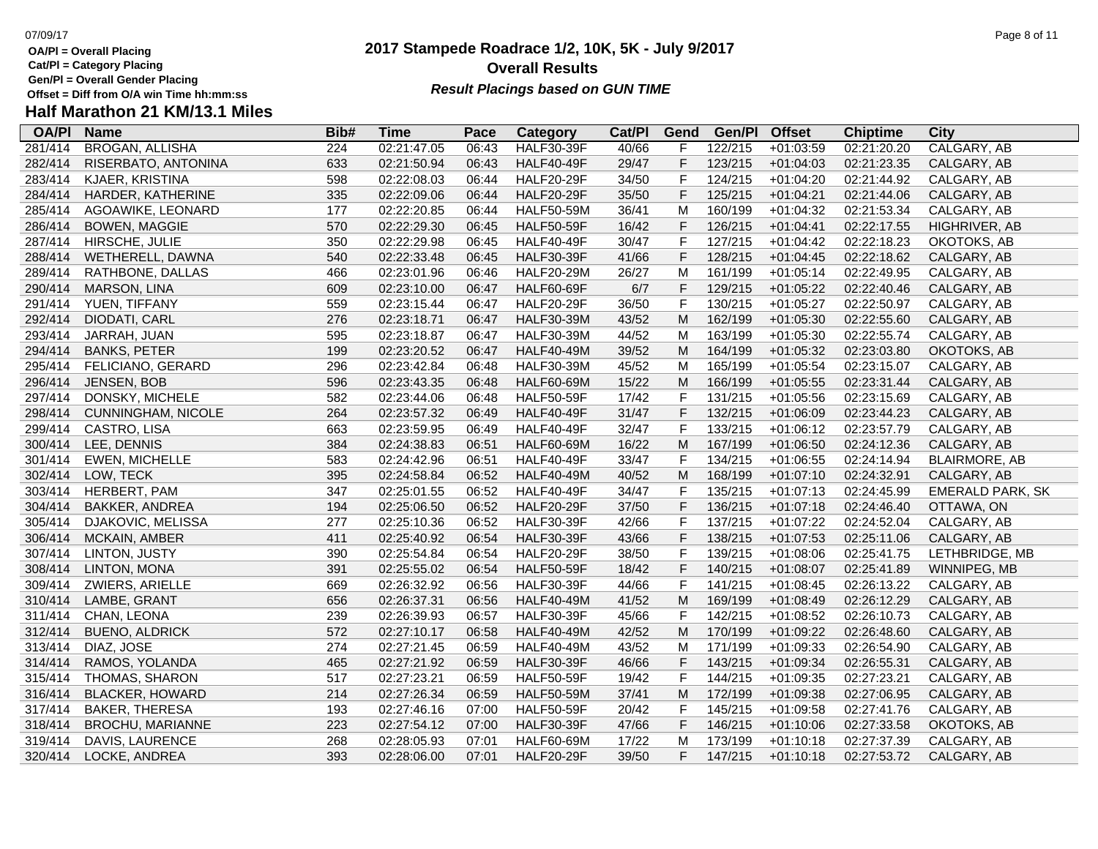- **Cat/Pl = Category Placing**
- **Gen/Pl = Overall Gender Placing**
- **Half Marathon 21 KM/13.1 Miles**

### **2017 Stampede Roadrace 1/2, 10K, 5K - July 9/2017** 07/09/17 Page 8 of 11 **Overall Results** Gen/PI = Overall Gender Placing<br>Offset = Diff from O/A win Time hh:mm:ss *Result Placings based on GUN TIME*

| <b>OA/PI</b> | <b>Name</b>            | Bib# | <b>Time</b> | Pace  | Category          | Cat/PI | Gend | Gen/Pl  | <b>Offset</b> | <b>Chiptime</b> | <b>City</b>          |
|--------------|------------------------|------|-------------|-------|-------------------|--------|------|---------|---------------|-----------------|----------------------|
| 281/414      | <b>BROGAN, ALLISHA</b> | 224  | 02:21:47.05 | 06:43 | <b>HALF30-39F</b> | 40/66  | F    | 122/215 | $+01:03:59$   | 02:21:20.20     | CALGARY, AB          |
| 282/414      | RISERBATO, ANTONINA    | 633  | 02:21:50.94 | 06:43 | <b>HALF40-49F</b> | 29/47  | F    | 123/215 | $+01:04:03$   | 02:21:23.35     | CALGARY, AB          |
| 283/414      | KJAER, KRISTINA        | 598  | 02:22:08.03 | 06:44 | <b>HALF20-29F</b> | 34/50  | F    | 124/215 | $+01:04:20$   | 02:21:44.92     | CALGARY, AB          |
| 284/414      | HARDER, KATHERINE      | 335  | 02:22:09.06 | 06:44 | <b>HALF20-29F</b> | 35/50  | F    | 125/215 | $+01:04:21$   | 02:21:44.06     | CALGARY, AB          |
| 285/414      | AGOAWIKE, LEONARD      | 177  | 02:22:20.85 | 06:44 | <b>HALF50-59M</b> | 36/41  | M    | 160/199 | $+01:04:32$   | 02:21:53.34     | CALGARY, AB          |
| 286/414      | <b>BOWEN, MAGGIE</b>   | 570  | 02:22:29.30 | 06:45 | <b>HALF50-59F</b> | 16/42  | F    | 126/215 | $+01:04:41$   | 02:22:17.55     | HIGHRIVER, AB        |
| 287/414      | HIRSCHE, JULIE         | 350  | 02:22:29.98 | 06:45 | <b>HALF40-49F</b> | 30/47  | F    | 127/215 | $+01:04:42$   | 02:22:18.23     | OKOTOKS, AB          |
| 288/414      | WETHERELL, DAWNA       | 540  | 02:22:33.48 | 06:45 | <b>HALF30-39F</b> | 41/66  | F    | 128/215 | $+01:04:45$   | 02:22:18.62     | CALGARY, AB          |
| 289/414      | RATHBONE, DALLAS       | 466  | 02:23:01.96 | 06:46 | <b>HALF20-29M</b> | 26/27  | M    | 161/199 | $+01:05:14$   | 02:22:49.95     | CALGARY, AB          |
| 290/414      | <b>MARSON, LINA</b>    | 609  | 02:23:10.00 | 06:47 | <b>HALF60-69F</b> | 6/7    | F    | 129/215 | $+01:05:22$   | 02:22:40.46     | CALGARY, AB          |
| 291/414      | YUEN, TIFFANY          | 559  | 02:23:15.44 | 06:47 | <b>HALF20-29F</b> | 36/50  | F    | 130/215 | $+01:05:27$   | 02:22:50.97     | CALGARY, AB          |
| 292/414      | DIODATI, CARL          | 276  | 02:23:18.71 | 06:47 | <b>HALF30-39M</b> | 43/52  | M    | 162/199 | $+01:05:30$   | 02:22:55.60     | CALGARY, AB          |
| 293/414      | JARRAH, JUAN           | 595  | 02:23:18.87 | 06:47 | <b>HALF30-39M</b> | 44/52  | м    | 163/199 | $+01:05:30$   | 02:22:55.74     | CALGARY, AB          |
| 294/414      | <b>BANKS, PETER</b>    | 199  | 02:23:20.52 | 06:47 | <b>HALF40-49M</b> | 39/52  | M    | 164/199 | $+01:05:32$   | 02:23:03.80     | OKOTOKS, AB          |
| 295/414      | FELICIANO, GERARD      | 296  | 02:23:42.84 | 06:48 | <b>HALF30-39M</b> | 45/52  | M    | 165/199 | $+01:05:54$   | 02:23:15.07     | CALGARY, AB          |
| 296/414      | JENSEN, BOB            | 596  | 02:23:43.35 | 06:48 | <b>HALF60-69M</b> | 15/22  | M    | 166/199 | $+01:05:55$   | 02:23:31.44     | CALGARY, AB          |
| 297/414      | DONSKY, MICHELE        | 582  | 02:23:44.06 | 06:48 | <b>HALF50-59F</b> | 17/42  | F    | 131/215 | $+01:05:56$   | 02:23:15.69     | CALGARY, AB          |
| 298/414      | CUNNINGHAM, NICOLE     | 264  | 02:23:57.32 | 06:49 | <b>HALF40-49F</b> | 31/47  | F    | 132/215 | $+01:06:09$   | 02:23:44.23     | CALGARY, AB          |
| 299/414      | CASTRO, LISA           | 663  | 02:23:59.95 | 06:49 | <b>HALF40-49F</b> | 32/47  | F    | 133/215 | $+01:06:12$   | 02:23:57.79     | CALGARY, AB          |
| 300/414      | LEE, DENNIS            | 384  | 02:24:38.83 | 06:51 | <b>HALF60-69M</b> | 16/22  | M    | 167/199 | $+01:06:50$   | 02:24:12.36     | CALGARY, AB          |
| 301/414      | <b>EWEN, MICHELLE</b>  | 583  | 02:24:42.96 | 06:51 | <b>HALF40-49F</b> | 33/47  | F    | 134/215 | $+01:06:55$   | 02:24:14.94     | <b>BLAIRMORE, AB</b> |
| 302/414      | LOW, TECK              | 395  | 02:24:58.84 | 06:52 | <b>HALF40-49M</b> | 40/52  | M    | 168/199 | $+01:07:10$   | 02:24:32.91     | CALGARY, AB          |
| 303/414      | HERBERT, PAM           | 347  | 02:25:01.55 | 06:52 | <b>HALF40-49F</b> | 34/47  | F    | 135/215 | $+01:07:13$   | 02:24:45.99     | EMERALD PARK, SK     |
| 304/414      | <b>BAKKER, ANDREA</b>  | 194  | 02:25:06.50 | 06:52 | <b>HALF20-29F</b> | 37/50  | F    | 136/215 | $+01:07:18$   | 02:24:46.40     | OTTAWA, ON           |
| 305/414      | DJAKOVIC, MELISSA      | 277  | 02:25:10.36 | 06:52 | <b>HALF30-39F</b> | 42/66  | F    | 137/215 | $+01:07:22$   | 02:24:52.04     | CALGARY, AB          |
| 306/414      | MCKAIN, AMBER          | 411  | 02:25:40.92 | 06:54 | <b>HALF30-39F</b> | 43/66  | F    | 138/215 | $+01:07:53$   | 02:25:11.06     | CALGARY, AB          |
| 307/414      | LINTON, JUSTY          | 390  | 02:25:54.84 | 06:54 | <b>HALF20-29F</b> | 38/50  | F    | 139/215 | $+01:08:06$   | 02:25:41.75     | LETHBRIDGE, MB       |
| 308/414      | LINTON, MONA           | 391  | 02:25:55.02 | 06:54 | <b>HALF50-59F</b> | 18/42  | F    | 140/215 | $+01:08:07$   | 02:25:41.89     | WINNIPEG, MB         |
| 309/414      | ZWIERS, ARIELLE        | 669  | 02:26:32.92 | 06:56 | <b>HALF30-39F</b> | 44/66  | F.   | 141/215 | $+01:08:45$   | 02:26:13.22     | CALGARY, AB          |
| 310/414      | LAMBE, GRANT           | 656  | 02:26:37.31 | 06:56 | <b>HALF40-49M</b> | 41/52  | М    | 169/199 | $+01:08:49$   | 02:26:12.29     | CALGARY, AB          |
| 311/414      | CHAN, LEONA            | 239  | 02:26:39.93 | 06:57 | <b>HALF30-39F</b> | 45/66  | F    | 142/215 | $+01:08:52$   | 02:26:10.73     | CALGARY, AB          |
| 312/414      | <b>BUENO, ALDRICK</b>  | 572  | 02:27:10.17 | 06:58 | <b>HALF40-49M</b> | 42/52  | M    | 170/199 | $+01:09:22$   | 02:26:48.60     | CALGARY, AB          |
| 313/414      | DIAZ, JOSE             | 274  | 02:27:21.45 | 06:59 | <b>HALF40-49M</b> | 43/52  | м    | 171/199 | $+01:09:33$   | 02:26:54.90     | CALGARY, AB          |
| 314/414      | RAMOS, YOLANDA         | 465  | 02:27:21.92 | 06:59 | <b>HALF30-39F</b> | 46/66  | F    | 143/215 | $+01:09:34$   | 02:26:55.31     | CALGARY, AB          |
| 315/414      | THOMAS, SHARON         | 517  | 02:27:23.21 | 06:59 | <b>HALF50-59F</b> | 19/42  | F    | 144/215 | $+01:09:35$   | 02:27:23.21     | CALGARY, AB          |
| 316/414      | <b>BLACKER, HOWARD</b> | 214  | 02:27:26.34 | 06:59 | <b>HALF50-59M</b> | 37/41  | M    | 172/199 | $+01:09:38$   | 02:27:06.95     | CALGARY, AB          |
| 317/414      | BAKER, THERESA         | 193  | 02:27:46.16 | 07:00 | <b>HALF50-59F</b> | 20/42  | F    | 145/215 | $+01:09:58$   | 02:27:41.76     | CALGARY, AB          |
| 318/414      | BROCHU, MARIANNE       | 223  | 02:27:54.12 | 07:00 | <b>HALF30-39F</b> | 47/66  | F    | 146/215 | $+01:10:06$   | 02:27:33.58     | OKOTOKS, AB          |
| 319/414      | DAVIS, LAURENCE        | 268  | 02:28:05.93 | 07:01 | <b>HALF60-69M</b> | 17/22  | M    | 173/199 | $+01:10:18$   | 02:27:37.39     | CALGARY, AB          |
| 320/414      | LOCKE, ANDREA          | 393  | 02:28:06.00 | 07:01 | <b>HALF20-29F</b> | 39/50  | F.   | 147/215 | $+01:10:18$   | 02:27:53.72     | CALGARY, AB          |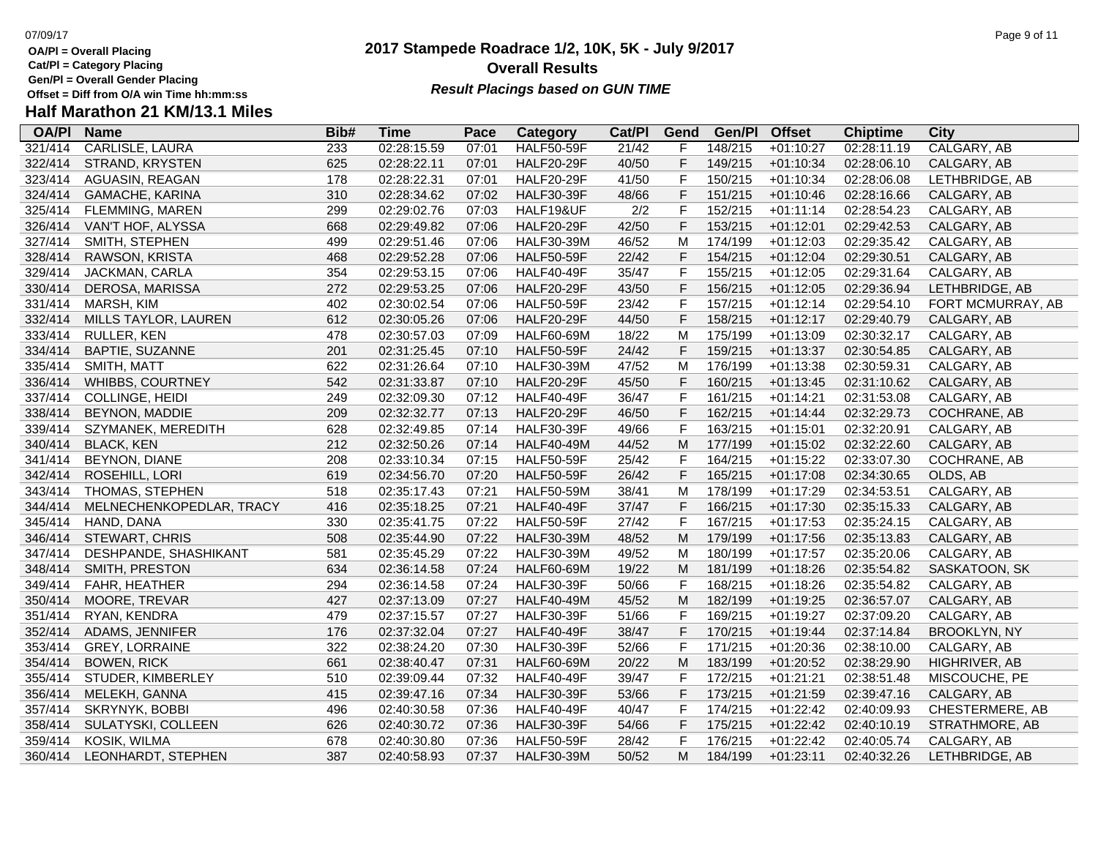**Cat/Pl = Category Placing**

**Gen/Pl = Overall Gender Placing**

**Half Marathon 21 KM/13.1 Miles**

### **2017 Stampede Roadrace 1/2, 10K, 5K - July 9/2017** 07/09/17 Page 9 of 11 **Overall Results** Gen/PI = Overall Gender Placing<br>Offset = Diff from O/A win Time hh:mm:ss *Result Placings based on GUN TIME*

| <b>OA/PI</b> | <b>Name</b>              | Bib# | <b>Time</b> | Pace  | Category          | Cat/PI | Gend        | Gen/Pl  | <b>Offset</b> | <b>Chiptime</b> | City                |
|--------------|--------------------------|------|-------------|-------|-------------------|--------|-------------|---------|---------------|-----------------|---------------------|
| 321/414      | <b>CARLISLE, LAURA</b>   | 233  | 02:28:15.59 | 07:01 | <b>HALF50-59F</b> | 21/42  | F.          | 148/215 | $+01:10:27$   | 02:28:11.19     | CALGARY, AB         |
| 322/414      | STRAND, KRYSTEN          | 625  | 02:28:22.11 | 07:01 | <b>HALF20-29F</b> | 40/50  | F           | 149/215 | $+01:10:34$   | 02:28:06.10     | CALGARY, AB         |
| 323/414      | AGUASIN, REAGAN          | 178  | 02:28:22.31 | 07:01 | <b>HALF20-29F</b> | 41/50  | F           | 150/215 | $+01:10:34$   | 02:28:06.08     | LETHBRIDGE, AB      |
| 324/414      | GAMACHE, KARINA          | 310  | 02:28:34.62 | 07:02 | <b>HALF30-39F</b> | 48/66  | F           | 151/215 | $+01:10:46$   | 02:28:16.66     | CALGARY, AB         |
| 325/414      | FLEMMING, MAREN          | 299  | 02:29:02.76 | 07:03 | HALF19&UF         | 2/2    | F           | 152/215 | $+01:11:14$   | 02:28:54.23     | CALGARY, AB         |
| 326/414      | VAN'T HOF, ALYSSA        | 668  | 02:29:49.82 | 07:06 | <b>HALF20-29F</b> | 42/50  | F           | 153/215 | $+01:12:01$   | 02:29:42.53     | CALGARY, AB         |
| 327/414      | SMITH, STEPHEN           | 499  | 02:29:51.46 | 07:06 | <b>HALF30-39M</b> | 46/52  | M           | 174/199 | $+01:12:03$   | 02:29:35.42     | CALGARY, AB         |
| 328/414      | RAWSON, KRISTA           | 468  | 02:29:52.28 | 07:06 | <b>HALF50-59F</b> | 22/42  | F           | 154/215 | $+01:12:04$   | 02:29:30.51     | CALGARY, AB         |
| 329/414      | JACKMAN, CARLA           | 354  | 02:29:53.15 | 07:06 | <b>HALF40-49F</b> | 35/47  | F           | 155/215 | $+01:12:05$   | 02:29:31.64     | CALGARY, AB         |
| 330/414      | DEROSA, MARISSA          | 272  | 02:29:53.25 | 07:06 | <b>HALF20-29F</b> | 43/50  | F           | 156/215 | $+01:12:05$   | 02:29:36.94     | LETHBRIDGE, AB      |
| 331/414      | MARSH, KIM               | 402  | 02:30:02.54 | 07:06 | <b>HALF50-59F</b> | 23/42  | $\mathsf F$ | 157/215 | $+01:12:14$   | 02:29:54.10     | FORT MCMURRAY, AB   |
| 332/414      | MILLS TAYLOR, LAUREN     | 612  | 02:30:05.26 | 07:06 | <b>HALF20-29F</b> | 44/50  | F           | 158/215 | $+01:12:17$   | 02:29:40.79     | CALGARY, AB         |
| 333/414      | RULLER, KEN              | 478  | 02:30:57.03 | 07:09 | <b>HALF60-69M</b> | 18/22  | M           | 175/199 | $+01:13:09$   | 02:30:32.17     | CALGARY, AB         |
| 334/414      | BAPTIE, SUZANNE          | 201  | 02:31:25.45 | 07:10 | <b>HALF50-59F</b> | 24/42  | F           | 159/215 | $+01:13:37$   | 02:30:54.85     | CALGARY, AB         |
| 335/414      | SMITH, MATT              | 622  | 02:31:26.64 | 07:10 | <b>HALF30-39M</b> | 47/52  | M           | 176/199 | $+01:13:38$   | 02:30:59.31     | CALGARY, AB         |
| 336/414      | WHIBBS, COURTNEY         | 542  | 02:31:33.87 | 07:10 | <b>HALF20-29F</b> | 45/50  | F           | 160/215 | $+01:13:45$   | 02:31:10.62     | CALGARY, AB         |
| 337/414      | COLLINGE, HEIDI          | 249  | 02:32:09.30 | 07:12 | <b>HALF40-49F</b> | 36/47  | F           | 161/215 | $+01:14:21$   | 02:31:53.08     | CALGARY, AB         |
| 338/414      | BEYNON, MADDIE           | 209  | 02:32:32.77 | 07:13 | <b>HALF20-29F</b> | 46/50  | F           | 162/215 | $+01:14:44$   | 02:32:29.73     | <b>COCHRANE, AB</b> |
| 339/414      | SZYMANEK, MEREDITH       | 628  | 02:32:49.85 | 07:14 | <b>HALF30-39F</b> | 49/66  | F           | 163/215 | $+01:15:01$   | 02:32:20.91     | CALGARY, AB         |
| 340/414      | <b>BLACK, KEN</b>        | 212  | 02:32:50.26 | 07:14 | <b>HALF40-49M</b> | 44/52  | ${\sf M}$   | 177/199 | $+01:15:02$   | 02:32:22.60     | CALGARY, AB         |
| 341/414      | BEYNON, DIANE            | 208  | 02:33:10.34 | 07:15 | <b>HALF50-59F</b> | 25/42  | F           | 164/215 | $+01:15:22$   | 02:33:07.30     | COCHRANE, AB        |
| 342/414      | ROSEHILL, LORI           | 619  | 02:34:56.70 | 07:20 | <b>HALF50-59F</b> | 26/42  | F           | 165/215 | $+01:17:08$   | 02:34:30.65     | OLDS, AB            |
| 343/414      | THOMAS, STEPHEN          | 518  | 02:35:17.43 | 07:21 | <b>HALF50-59M</b> | 38/41  | M           | 178/199 | $+01:17:29$   | 02:34:53.51     | CALGARY, AB         |
| 344/414      | MELNECHENKOPEDLAR, TRACY | 416  | 02:35:18.25 | 07:21 | <b>HALF40-49F</b> | 37/47  | $\mathsf F$ | 166/215 | $+01:17:30$   | 02:35:15.33     | CALGARY, AB         |
| 345/414      | HAND, DANA               | 330  | 02:35:41.75 | 07:22 | <b>HALF50-59F</b> | 27/42  | F           | 167/215 | $+01:17:53$   | 02:35:24.15     | CALGARY, AB         |
| 346/414      | STEWART, CHRIS           | 508  | 02:35:44.90 | 07:22 | <b>HALF30-39M</b> | 48/52  | M           | 179/199 | $+01:17:56$   | 02:35:13.83     | CALGARY, AB         |
| 347/414      | DESHPANDE, SHASHIKANT    | 581  | 02:35:45.29 | 07:22 | <b>HALF30-39M</b> | 49/52  | M           | 180/199 | $+01:17:57$   | 02:35:20.06     | CALGARY, AB         |
| 348/414      | SMITH, PRESTON           | 634  | 02:36:14.58 | 07:24 | <b>HALF60-69M</b> | 19/22  | M           | 181/199 | $+01:18:26$   | 02:35:54.82     | SASKATOON, SK       |
| 349/414      | FAHR, HEATHER            | 294  | 02:36:14.58 | 07:24 | <b>HALF30-39F</b> | 50/66  | F           | 168/215 | $+01:18:26$   | 02:35:54.82     | CALGARY, AB         |
| 350/414      | MOORE, TREVAR            | 427  | 02:37:13.09 | 07:27 | <b>HALF40-49M</b> | 45/52  | M           | 182/199 | $+01:19:25$   | 02:36:57.07     | CALGARY, AB         |
| 351/414      | RYAN, KENDRA             | 479  | 02:37:15.57 | 07:27 | <b>HALF30-39F</b> | 51/66  | F           | 169/215 | $+01:19:27$   | 02:37:09.20     | CALGARY, AB         |
| 352/414      | ADAMS, JENNIFER          | 176  | 02:37:32.04 | 07:27 | <b>HALF40-49F</b> | 38/47  | F           | 170/215 | $+01:19:44$   | 02:37:14.84     | <b>BROOKLYN, NY</b> |
| 353/414      | <b>GREY, LORRAINE</b>    | 322  | 02:38:24.20 | 07:30 | <b>HALF30-39F</b> | 52/66  | F           | 171/215 | $+01:20:36$   | 02:38:10.00     | CALGARY, AB         |
| 354/414      | <b>BOWEN, RICK</b>       | 661  | 02:38:40.47 | 07:31 | HALF60-69M        | 20/22  | M           | 183/199 | $+01:20:52$   | 02:38:29.90     | HIGHRIVER, AB       |
| 355/414      | STUDER, KIMBERLEY        | 510  | 02:39:09.44 | 07:32 | <b>HALF40-49F</b> | 39/47  | F           | 172/215 | $+01:21:21$   | 02:38:51.48     | MISCOUCHE, PE       |
| 356/414      | MELEKH, GANNA            | 415  | 02:39:47.16 | 07:34 | <b>HALF30-39F</b> | 53/66  | F           | 173/215 | $+01:21:59$   | 02:39:47.16     | CALGARY, AB         |
| 357/414      | SKRYNYK, BOBBI           | 496  | 02:40:30.58 | 07:36 | <b>HALF40-49F</b> | 40/47  | F           | 174/215 | $+01:22:42$   | 02:40:09.93     | CHESTERMERE, AB     |
| 358/414      | SULATYSKI, COLLEEN       | 626  | 02:40:30.72 | 07:36 | <b>HALF30-39F</b> | 54/66  | F           | 175/215 | $+01:22:42$   | 02:40:10.19     | STRATHMORE, AB      |
| 359/414      | KOSIK, WILMA             | 678  | 02:40:30.80 | 07:36 | <b>HALF50-59F</b> | 28/42  | F           | 176/215 | $+01:22:42$   | 02:40:05.74     | CALGARY, AB         |
| 360/414      | LEONHARDT, STEPHEN       | 387  | 02:40:58.93 | 07:37 | <b>HALF30-39M</b> | 50/52  | M           | 184/199 | $+01:23:11$   | 02:40:32.26     | LETHBRIDGE, AB      |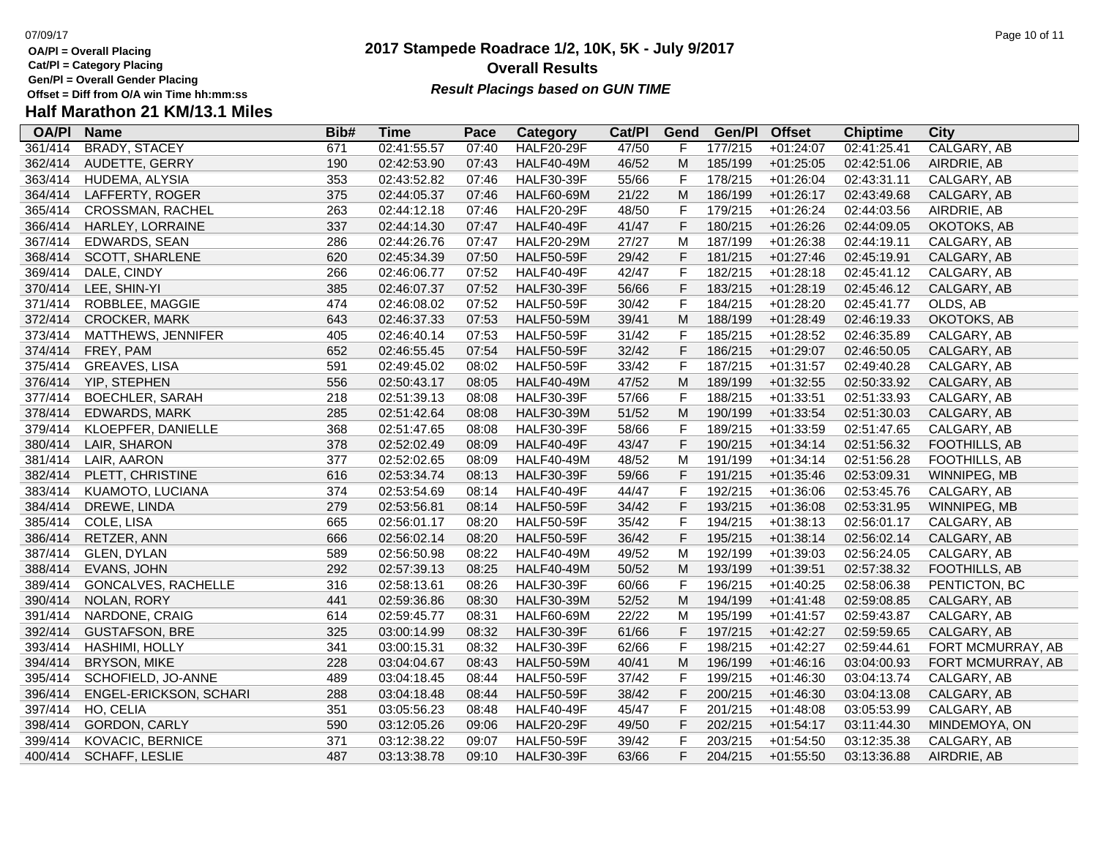**Cat/Pl = Category Placing**

**Gen/Pl = Overall Gender Placing**

# **Half Marathon 21 KM/13.1 Miles**

| <b>OA/PI</b> | <b>Name</b>            | Bib# | <b>Time</b> | Pace  | Category          | Cat/Pl | Gend         | Gen/Pl  | <b>Offset</b> | <b>Chiptime</b> | City              |
|--------------|------------------------|------|-------------|-------|-------------------|--------|--------------|---------|---------------|-----------------|-------------------|
| 361/414      | <b>BRADY, STACEY</b>   | 671  | 02:41:55.57 | 07:40 | <b>HALF20-29F</b> | 47/50  | F            | 177/215 | $+01:24:07$   | 02:41:25.41     | CALGARY, AB       |
| 362/414      | AUDETTE, GERRY         | 190  | 02:42:53.90 | 07:43 | <b>HALF40-49M</b> | 46/52  | M            | 185/199 | $+01:25:05$   | 02:42:51.06     | AIRDRIE, AB       |
| 363/414      | HUDEMA, ALYSIA         | 353  | 02:43:52.82 | 07:46 | <b>HALF30-39F</b> | 55/66  | F            | 178/215 | $+01:26:04$   | 02:43:31.11     | CALGARY, AB       |
| 364/414      | LAFFERTY, ROGER        | 375  | 02:44:05.37 | 07:46 | <b>HALF60-69M</b> | 21/22  | M            | 186/199 | $+01:26:17$   | 02:43:49.68     | CALGARY, AB       |
| 365/414      | CROSSMAN, RACHEL       | 263  | 02:44:12.18 | 07:46 | <b>HALF20-29F</b> | 48/50  | F            | 179/215 | $+01:26:24$   | 02:44:03.56     | AIRDRIE, AB       |
| 366/414      | HARLEY, LORRAINE       | 337  | 02:44:14.30 | 07:47 | <b>HALF40-49F</b> | 41/47  | F            | 180/215 | $+01:26:26$   | 02:44:09.05     | OKOTOKS, AB       |
| 367/414      | EDWARDS, SEAN          | 286  | 02:44:26.76 | 07:47 | <b>HALF20-29M</b> | 27/27  | M            | 187/199 | $+01:26:38$   | 02:44:19.11     | CALGARY, AB       |
| 368/414      | SCOTT, SHARLENE        | 620  | 02:45:34.39 | 07:50 | <b>HALF50-59F</b> | 29/42  | F            | 181/215 | $+01:27:46$   | 02:45:19.91     | CALGARY, AB       |
| 369/414      | DALE, CINDY            | 266  | 02:46:06.77 | 07:52 | <b>HALF40-49F</b> | 42/47  | F            | 182/215 | $+01:28:18$   | 02:45:41.12     | CALGARY, AB       |
| 370/414      | LEE, SHIN-YI           | 385  | 02:46:07.37 | 07:52 | <b>HALF30-39F</b> | 56/66  | F            | 183/215 | $+01:28:19$   | 02:45:46.12     | CALGARY, AB       |
| 371/414      | ROBBLEE, MAGGIE        | 474  | 02:46:08.02 | 07:52 | <b>HALF50-59F</b> | 30/42  | F            | 184/215 | $+01:28:20$   | 02:45:41.77     | OLDS, AB          |
| 372/414      | <b>CROCKER, MARK</b>   | 643  | 02:46:37.33 | 07:53 | <b>HALF50-59M</b> | 39/41  | M            | 188/199 | $+01:28:49$   | 02:46:19.33     | OKOTOKS, AB       |
| 373/414      | MATTHEWS, JENNIFER     | 405  | 02:46:40.14 | 07:53 | <b>HALF50-59F</b> | 31/42  | F            | 185/215 | $+01:28:52$   | 02:46:35.89     | CALGARY, AB       |
| 374/414      | FREY, PAM              | 652  | 02:46:55.45 | 07:54 | <b>HALF50-59F</b> | 32/42  | F            | 186/215 | $+01:29:07$   | 02:46:50.05     | CALGARY, AB       |
| 375/414      | GREAVES, LISA          | 591  | 02:49:45.02 | 08:02 | <b>HALF50-59F</b> | 33/42  | F            | 187/215 | $+01:31:57$   | 02:49:40.28     | CALGARY, AB       |
| 376/414      | YIP, STEPHEN           | 556  | 02:50:43.17 | 08:05 | <b>HALF40-49M</b> | 47/52  | M            | 189/199 | $+01:32:55$   | 02:50:33.92     | CALGARY, AB       |
| 377/414      | <b>BOECHLER, SARAH</b> | 218  | 02:51:39.13 | 08:08 | <b>HALF30-39F</b> | 57/66  | F            | 188/215 | $+01:33:51$   | 02:51:33.93     | CALGARY, AB       |
| 378/414      | <b>EDWARDS, MARK</b>   | 285  | 02:51:42.64 | 08:08 | <b>HALF30-39M</b> | 51/52  | M            | 190/199 | $+01:33:54$   | 02:51:30.03     | CALGARY, AB       |
| 379/414      | KLOEPFER, DANIELLE     | 368  | 02:51:47.65 | 08:08 | <b>HALF30-39F</b> | 58/66  | $\mathsf F$  | 189/215 | $+01:33:59$   | 02:51:47.65     | CALGARY, AB       |
| 380/414      | LAIR, SHARON           | 378  | 02:52:02.49 | 08:09 | <b>HALF40-49F</b> | 43/47  | F            | 190/215 | $+01:34:14$   | 02:51:56.32     | FOOTHILLS, AB     |
| 381/414      | LAIR, AARON            | 377  | 02:52:02.65 | 08:09 | <b>HALF40-49M</b> | 48/52  | M            | 191/199 | $+01:34:14$   | 02:51:56.28     | FOOTHILLS, AB     |
| 382/414      | PLETT, CHRISTINE       | 616  | 02:53:34.74 | 08:13 | <b>HALF30-39F</b> | 59/66  | F            | 191/215 | $+01:35:46$   | 02:53:09.31     | WINNIPEG, MB      |
| 383/414      | KUAMOTO, LUCIANA       | 374  | 02:53:54.69 | 08:14 | <b>HALF40-49F</b> | 44/47  | $\mathsf{F}$ | 192/215 | $+01:36:06$   | 02:53:45.76     | CALGARY, AB       |
| 384/414      | DREWE, LINDA           | 279  | 02:53:56.81 | 08:14 | <b>HALF50-59F</b> | 34/42  | $\mathsf F$  | 193/215 | $+01:36:08$   | 02:53:31.95     | WINNIPEG, MB      |
| 385/414      | COLE, LISA             | 665  | 02:56:01.17 | 08:20 | <b>HALF50-59F</b> | 35/42  | $\mathsf{F}$ | 194/215 | $+01:38:13$   | 02:56:01.17     | CALGARY, AB       |
| 386/414      | RETZER, ANN            | 666  | 02:56:02.14 | 08:20 | <b>HALF50-59F</b> | 36/42  | F            | 195/215 | $+01:38:14$   | 02:56:02.14     | CALGARY, AB       |
| 387/414      | GLEN, DYLAN            | 589  | 02:56:50.98 | 08:22 | <b>HALF40-49M</b> | 49/52  | M            | 192/199 | $+01:39:03$   | 02:56:24.05     | CALGARY, AB       |
| 388/414      | EVANS, JOHN            | 292  | 02:57:39.13 | 08:25 | <b>HALF40-49M</b> | 50/52  | M            | 193/199 | $+01:39:51$   | 02:57:38.32     | FOOTHILLS, AB     |
| 389/414      | GONCALVES, RACHELLE    | 316  | 02:58:13.61 | 08:26 | <b>HALF30-39F</b> | 60/66  | F            | 196/215 | $+01:40:25$   | 02:58:06.38     | PENTICTON, BC     |
| 390/414      | NOLAN, RORY            | 441  | 02:59:36.86 | 08:30 | <b>HALF30-39M</b> | 52/52  | M            | 194/199 | $+01:41:48$   | 02:59:08.85     | CALGARY, AB       |
| 391/414      | NARDONE, CRAIG         | 614  | 02:59:45.77 | 08:31 | <b>HALF60-69M</b> | 22/22  | M            | 195/199 | $+01:41:57$   | 02:59:43.87     | CALGARY, AB       |
| 392/414      | <b>GUSTAFSON, BRE</b>  | 325  | 03:00:14.99 | 08:32 | <b>HALF30-39F</b> | 61/66  | $\mathsf F$  | 197/215 | $+01:42:27$   | 02:59:59.65     | CALGARY, AB       |
| 393/414      | <b>HASHIMI, HOLLY</b>  | 341  | 03:00:15.31 | 08:32 | <b>HALF30-39F</b> | 62/66  | $\mathsf{F}$ | 198/215 | $+01:42:27$   | 02:59:44.61     | FORT MCMURRAY, AB |
| 394/414      | <b>BRYSON, MIKE</b>    | 228  | 03:04:04.67 | 08:43 | <b>HALF50-59M</b> | 40/41  | M            | 196/199 | $+01:46:16$   | 03:04:00.93     | FORT MCMURRAY, AB |
| 395/414      | SCHOFIELD, JO-ANNE     | 489  | 03:04:18.45 | 08:44 | <b>HALF50-59F</b> | 37/42  | F            | 199/215 | $+01:46:30$   | 03:04:13.74     | CALGARY, AB       |
| 396/414      | ENGEL-ERICKSON, SCHARI | 288  | 03:04:18.48 | 08:44 | <b>HALF50-59F</b> | 38/42  | F            | 200/215 | $+01:46:30$   | 03:04:13.08     | CALGARY, AB       |
| 397/414      | HO, CELIA              | 351  | 03:05:56.23 | 08:48 | <b>HALF40-49F</b> | 45/47  | $\mathsf{F}$ | 201/215 | $+01:48:08$   | 03:05:53.99     | CALGARY, AB       |
| 398/414      | GORDON, CARLY          | 590  | 03:12:05.26 | 09:06 | <b>HALF20-29F</b> | 49/50  | F            | 202/215 | $+01:54:17$   | 03:11:44.30     | MINDEMOYA, ON     |
| 399/414      | KOVACIC, BERNICE       | 371  | 03:12:38.22 | 09:07 | <b>HALF50-59F</b> | 39/42  | F            | 203/215 | $+01:54:50$   | 03:12:35.38     | CALGARY, AB       |
| 400/414      | <b>SCHAFF, LESLIE</b>  | 487  | 03:13:38.78 | 09:10 | <b>HALF30-39F</b> | 63/66  | F            | 204/215 | $+01:55:50$   | 03:13:36.88     | AIRDRIE, AB       |

### **2017 Stampede Roadrace 1/2, 10K, 5K - July 9/2017** 07/09/17 Page 10 of 11 **Overall Results Result Placings based on GUN TIME**